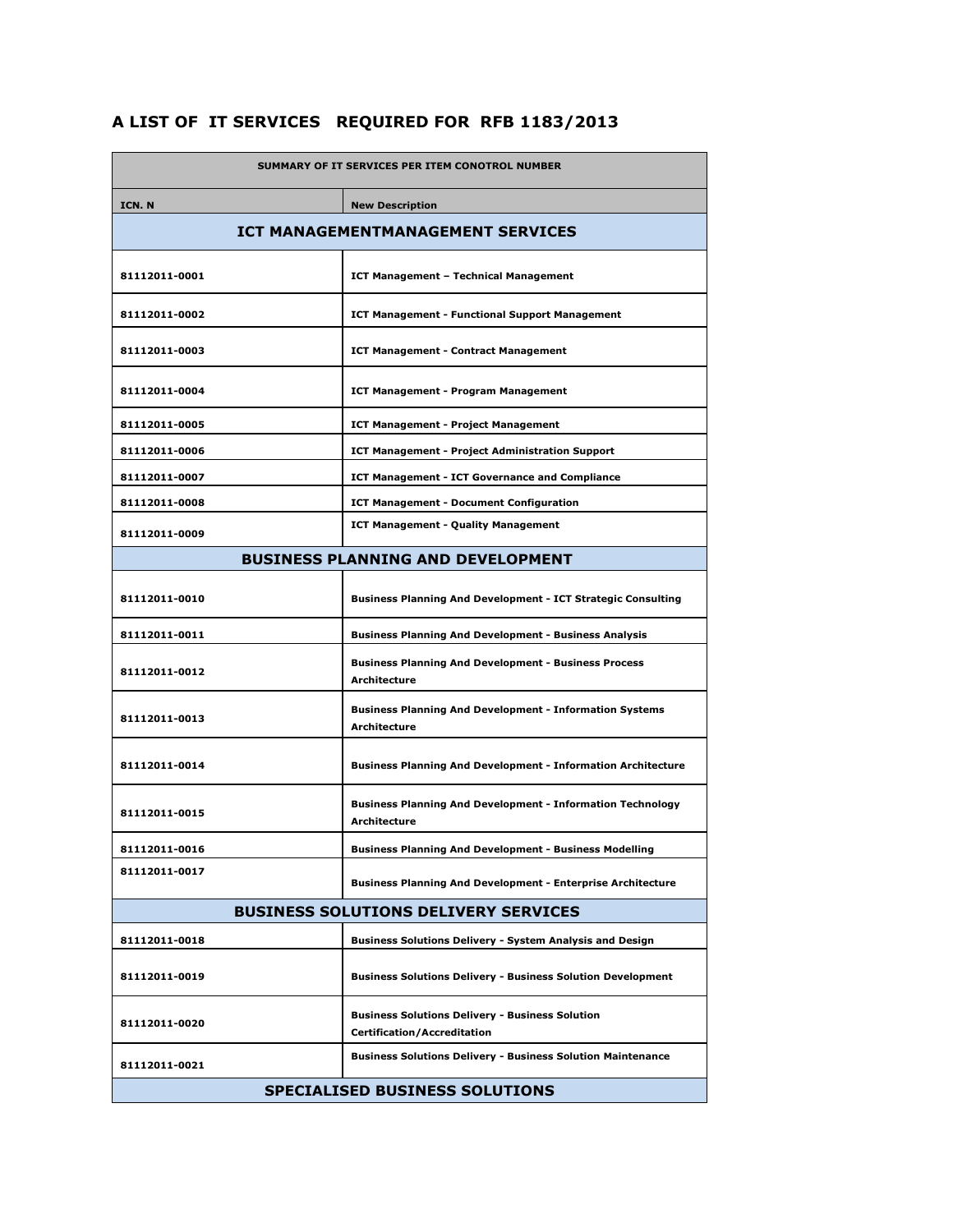# **A LIST OF IT SERVICES REQUIRED FOR RFB 1183/2013**

| SUMMARY OF IT SERVICES PER ITEM CONOTROL NUMBER |                                                                                              |  |  |
|-------------------------------------------------|----------------------------------------------------------------------------------------------|--|--|
| ICN. N                                          | <b>New Description</b>                                                                       |  |  |
|                                                 | <b>ICT MANAGEMENTMANAGEMENT SERVICES</b>                                                     |  |  |
| 81112011-0001                                   | ICT Management - Technical Management                                                        |  |  |
| 81112011-0002                                   | <b>ICT Management - Functional Support Management</b>                                        |  |  |
| 81112011-0003                                   | <b>ICT Management - Contract Management</b>                                                  |  |  |
| 81112011-0004                                   | ICT Management - Program Management                                                          |  |  |
| 81112011-0005                                   | ICT Management - Project Management                                                          |  |  |
| 81112011-0006                                   | <b>ICT Management - Project Administration Support</b>                                       |  |  |
| 81112011-0007                                   | <b>ICT Management - ICT Governance and Compliance</b>                                        |  |  |
| 81112011-0008                                   | ICT Management - Document Configuration                                                      |  |  |
| 81112011-0009                                   | <b>ICT Management - Quality Management</b>                                                   |  |  |
|                                                 | <b>BUSINESS PLANNING AND DEVELOPMENT</b>                                                     |  |  |
| 81112011-0010                                   | <b>Business Planning And Development - ICT Strategic Consulting</b>                          |  |  |
| 81112011-0011                                   | <b>Business Planning And Development - Business Analysis</b>                                 |  |  |
| 81112011-0012                                   | <b>Business Planning And Development - Business Process</b><br>Architecture                  |  |  |
| 81112011-0013                                   | <b>Business Planning And Development - Information Systems</b><br>Architecture               |  |  |
| 81112011-0014                                   | <b>Business Planning And Development - Information Architecture</b>                          |  |  |
| 81112011-0015                                   | <b>Business Planning And Development - Information Technology</b><br><b>Architecture</b>     |  |  |
| 81112011-0016                                   | <b>Business Planning And Development - Business Modelling</b>                                |  |  |
| 81112011-0017                                   | <b>Business Planning And Development - Enterprise Architecture</b>                           |  |  |
| <b>BUSINESS SOLUTIONS DELIVERY SERVICES</b>     |                                                                                              |  |  |
| 81112011-0018                                   | Business Solutions Delivery - System Analysis and Design                                     |  |  |
| 81112011-0019                                   | <b>Business Solutions Delivery - Business Solution Development</b>                           |  |  |
| 81112011-0020                                   | <b>Business Solutions Delivery - Business Solution</b><br><b>Certification/Accreditation</b> |  |  |
| 81112011-0021                                   | <b>Business Solutions Delivery - Business Solution Maintenance</b>                           |  |  |
|                                                 | <b>SPECIALISED BUSINESS SOLUTIONS</b>                                                        |  |  |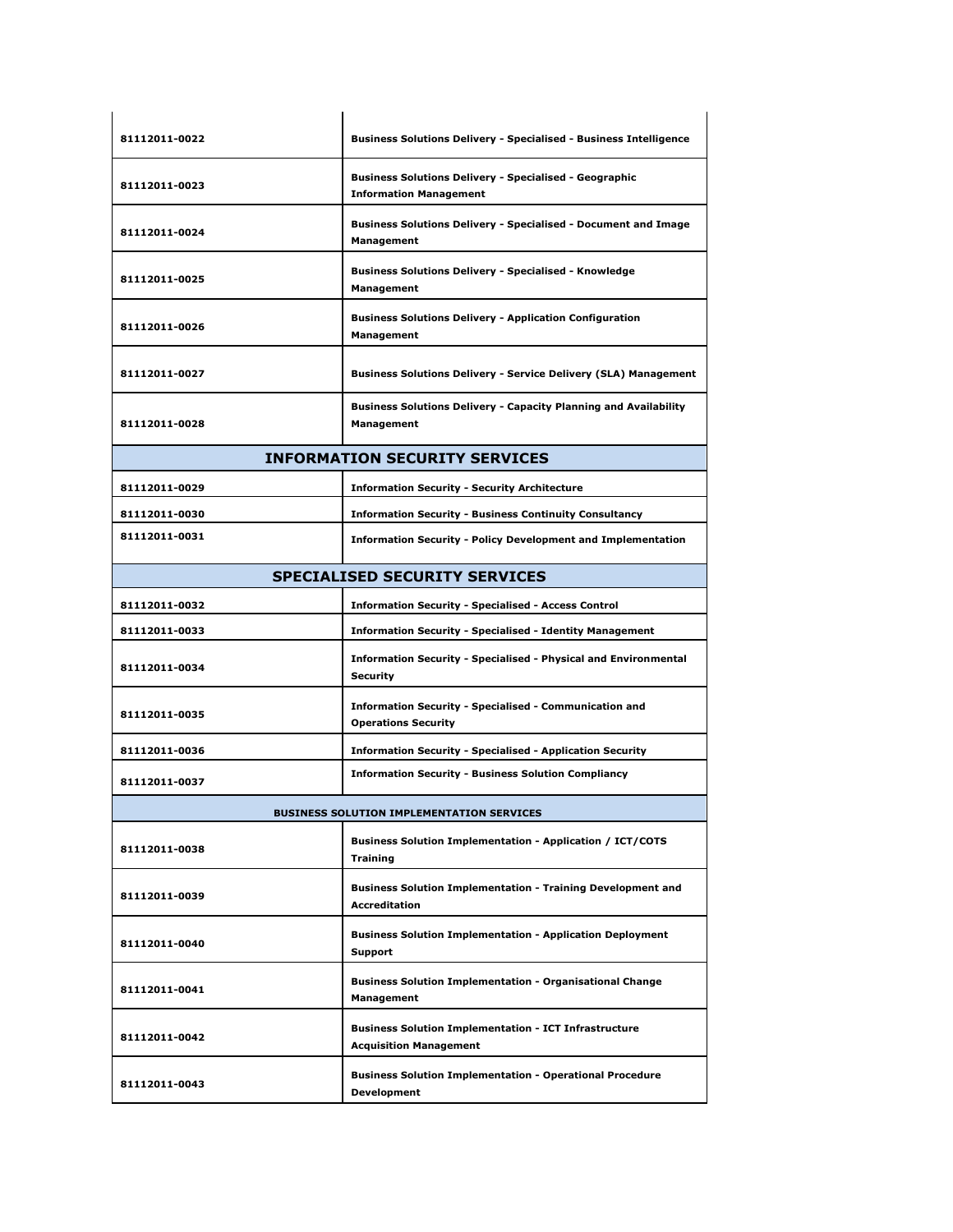| 81112011-0022                                    | <b>Business Solutions Delivery - Specialised - Business Intelligence</b>                       |  |
|--------------------------------------------------|------------------------------------------------------------------------------------------------|--|
| 81112011-0023                                    | <b>Business Solutions Delivery - Specialised - Geographic</b><br><b>Information Management</b> |  |
| 81112011-0024                                    | <b>Business Solutions Delivery - Specialised - Document and Image</b><br>Management            |  |
| 81112011-0025                                    | <b>Business Solutions Delivery - Specialised - Knowledge</b><br>Management                     |  |
| 81112011-0026                                    | <b>Business Solutions Delivery - Application Configuration</b><br>Management                   |  |
| 81112011-0027                                    | Business Solutions Delivery - Service Delivery (SLA) Management                                |  |
| 81112011-0028                                    | <b>Business Solutions Delivery - Capacity Planning and Availability</b><br>Management          |  |
|                                                  | <b>INFORMATION SECURITY SERVICES</b>                                                           |  |
| 81112011-0029                                    | <b>Information Security - Security Architecture</b>                                            |  |
| 81112011-0030                                    | <b>Information Security - Business Continuity Consultancy</b>                                  |  |
| 81112011-0031                                    | <b>Information Security - Policy Development and Implementation</b>                            |  |
| <b>SPECIALISED SECURITY SERVICES</b>             |                                                                                                |  |
| 81112011-0032                                    | <b>Information Security - Specialised - Access Control</b>                                     |  |
| 81112011-0033                                    | <b>Information Security - Specialised - Identity Management</b>                                |  |
| 81112011-0034                                    | <b>Information Security - Specialised - Physical and Environmental</b><br><b>Security</b>      |  |
| 81112011-0035                                    | <b>Information Security - Specialised - Communication and</b><br><b>Operations Security</b>    |  |
| 81112011-0036                                    | <b>Information Security - Specialised - Application Security</b>                               |  |
| 81112011-0037                                    | <b>Information Security - Business Solution Compliancy</b>                                     |  |
| <b>BUSINESS SOLUTION IMPLEMENTATION SERVICES</b> |                                                                                                |  |
| 81112011-0038                                    | <b>Business Solution Implementation - Application / ICT/COTS</b><br><b>Training</b>            |  |
| 81112011-0039                                    | <b>Business Solution Implementation - Training Development and</b><br><b>Accreditation</b>     |  |
| 81112011-0040                                    | <b>Business Solution Implementation - Application Deployment</b><br>Support                    |  |
| 81112011-0041                                    | <b>Business Solution Implementation - Organisational Change</b><br>Management                  |  |
| 81112011-0042                                    | <b>Business Solution Implementation - ICT Infrastructure</b><br><b>Acquisition Management</b>  |  |
| 81112011-0043                                    | <b>Business Solution Implementation - Operational Procedure</b><br><b>Development</b>          |  |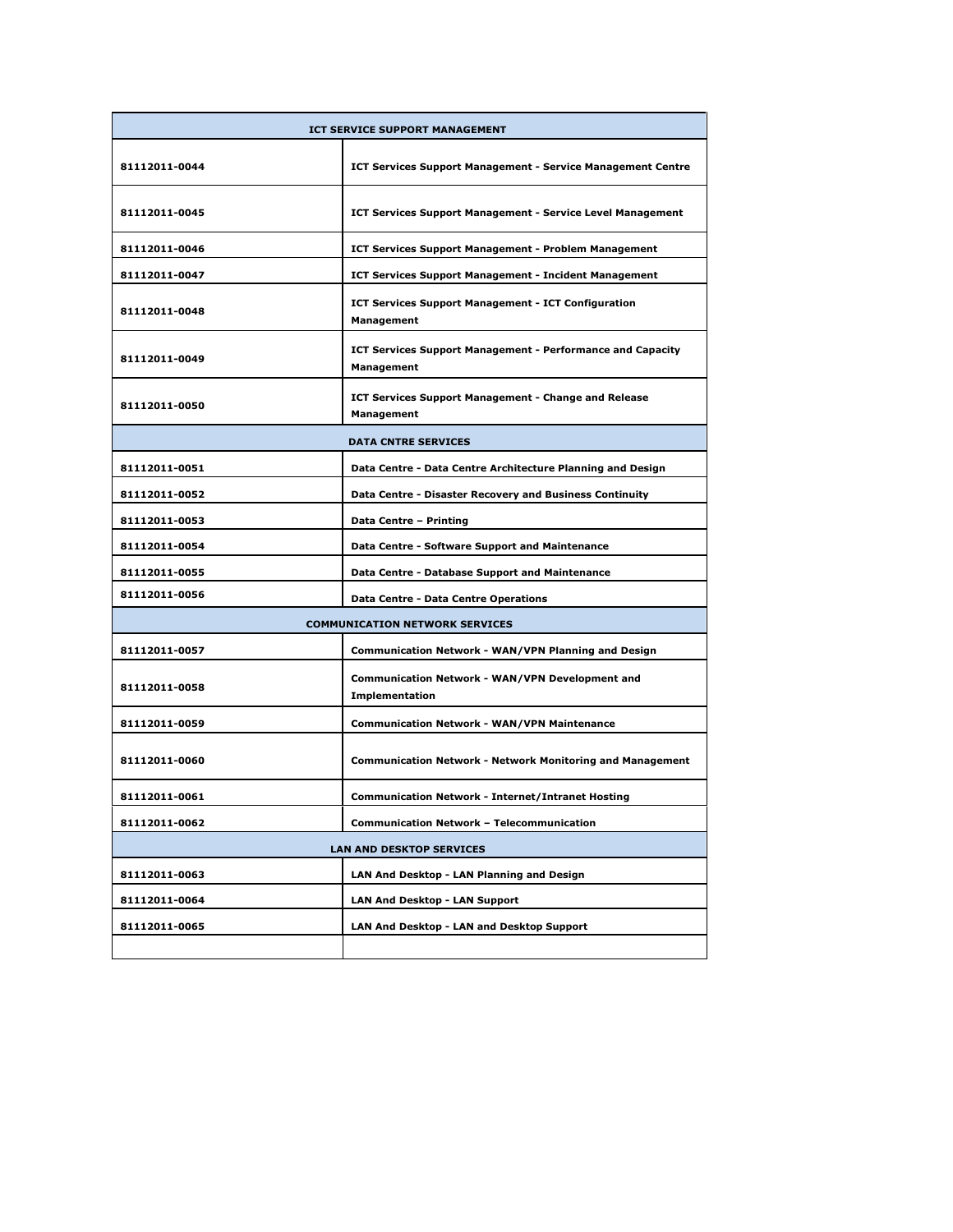|                                 | <b>ICT SERVICE SUPPORT MANAGEMENT</b>                                           |
|---------------------------------|---------------------------------------------------------------------------------|
| 81112011-0044                   | ICT Services Support Management - Service Management Centre                     |
| 81112011-0045                   | ICT Services Support Management - Service Level Management                      |
| 81112011-0046                   | <b>ICT Services Support Management - Problem Management</b>                     |
| 81112011-0047                   | <b>ICT Services Support Management - Incident Management</b>                    |
| 81112011-0048                   | <b>ICT Services Support Management - ICT Configuration</b><br>Management        |
| 81112011-0049                   | <b>ICT Services Support Management - Performance and Capacity</b><br>Management |
| 81112011-0050                   | ICT Services Support Management - Change and Release<br>Management              |
| <b>DATA CNTRE SERVICES</b>      |                                                                                 |
| 81112011-0051                   | Data Centre - Data Centre Architecture Planning and Design                      |
| 81112011-0052                   | Data Centre - Disaster Recovery and Business Continuity                         |
| 81112011-0053                   | Data Centre - Printing                                                          |
| 81112011-0054                   | Data Centre - Software Support and Maintenance                                  |
| 81112011-0055                   | Data Centre - Database Support and Maintenance                                  |
| 81112011-0056                   | <b>Data Centre - Data Centre Operations</b>                                     |
|                                 | <b>COMMUNICATION NETWORK SERVICES</b>                                           |
| 81112011-0057                   | Communication Network - WAN/VPN Planning and Design                             |
| 81112011-0058                   | Communication Network - WAN/VPN Development and<br><b>Implementation</b>        |
| 81112011-0059                   | <b>Communication Network - WAN/VPN Maintenance</b>                              |
| 81112011-0060                   | <b>Communication Network - Network Monitoring and Management</b>                |
| 81112011-0061                   | <b>Communication Network - Internet/Intranet Hosting</b>                        |
| 81112011-0062                   | Communication Network - Telecommunication                                       |
| <b>LAN AND DESKTOP SERVICES</b> |                                                                                 |
| 81112011-0063                   | LAN And Desktop - LAN Planning and Design                                       |
| 81112011-0064                   | <b>LAN And Desktop - LAN Support</b>                                            |
| 81112011-0065                   | LAN And Desktop - LAN and Desktop Support                                       |
|                                 |                                                                                 |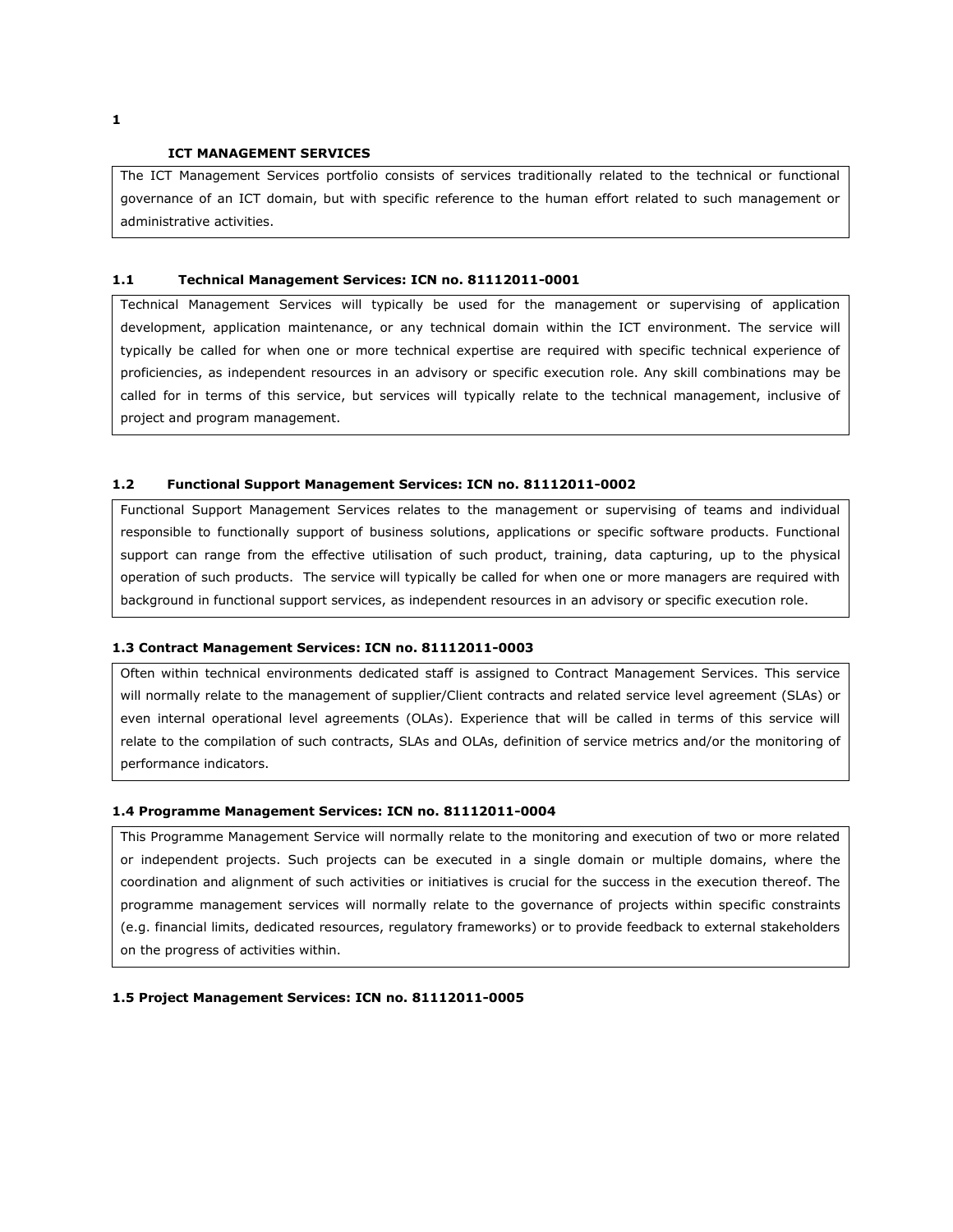#### **ICT MANAGEMENT SERVICES**

The ICT Management Services portfolio consists of services traditionally related to the technical or functional governance of an ICT domain, but with specific reference to the human effort related to such management or administrative activities.

#### **1.1 Technical Management Services: ICN no. 81112011-0001**

Technical Management Services will typically be used for the management or supervising of application development, application maintenance, or any technical domain within the ICT environment. The service will typically be called for when one or more technical expertise are required with specific technical experience of proficiencies, as independent resources in an advisory or specific execution role. Any skill combinations may be called for in terms of this service, but services will typically relate to the technical management, inclusive of project and program management.

#### **1.2 Functional Support Management Services: ICN no. 81112011-0002**

Functional Support Management Services relates to the management or supervising of teams and individual responsible to functionally support of business solutions, applications or specific software products. Functional support can range from the effective utilisation of such product, training, data capturing, up to the physical operation of such products. The service will typically be called for when one or more managers are required with background in functional support services, as independent resources in an advisory or specific execution role.

#### **1.3 Contract Management Services: ICN no. 81112011-0003**

Often within technical environments dedicated staff is assigned to Contract Management Services. This service will normally relate to the management of supplier/Client contracts and related service level agreement (SLAs) or even internal operational level agreements (OLAs). Experience that will be called in terms of this service will relate to the compilation of such contracts, SLAs and OLAs, definition of service metrics and/or the monitoring of performance indicators.

#### **1.4 Programme Management Services: ICN no. 81112011-0004**

This Programme Management Service will normally relate to the monitoring and execution of two or more related or independent projects. Such projects can be executed in a single domain or multiple domains, where the coordination and alignment of such activities or initiatives is crucial for the success in the execution thereof. The programme management services will normally relate to the governance of projects within specific constraints (e.g. financial limits, dedicated resources, regulatory frameworks) or to provide feedback to external stakeholders on the progress of activities within.

#### **1.5 Project Management Services: ICN no. 81112011-0005**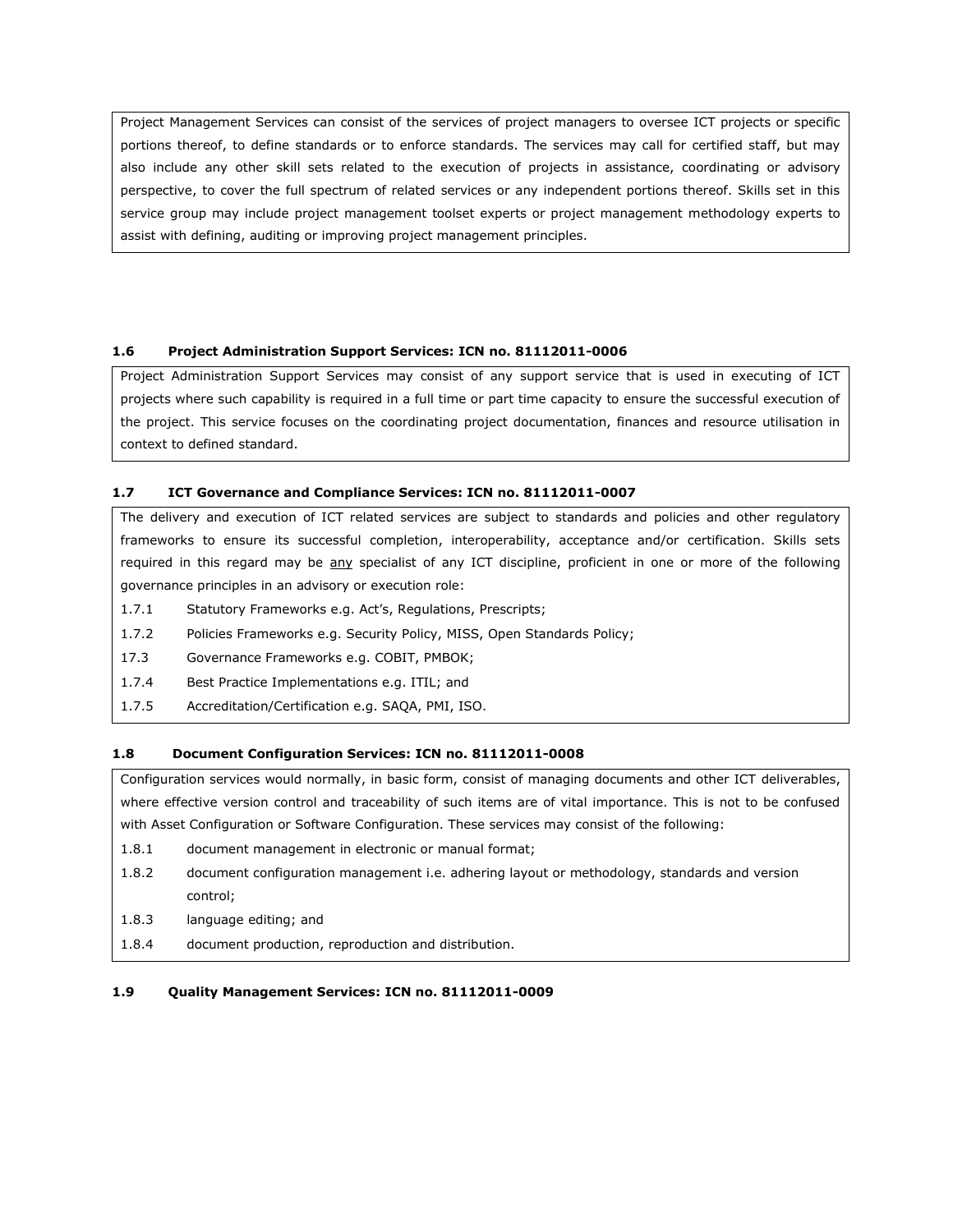Project Management Services can consist of the services of project managers to oversee ICT projects or specific portions thereof, to define standards or to enforce standards. The services may call for certified staff, but may also include any other skill sets related to the execution of projects in assistance, coordinating or advisory perspective, to cover the full spectrum of related services or any independent portions thereof. Skills set in this service group may include project management toolset experts or project management methodology experts to assist with defining, auditing or improving project management principles.

## **1.6 Project Administration Support Services: ICN no. 81112011-0006**

Project Administration Support Services may consist of any support service that is used in executing of ICT projects where such capability is required in a full time or part time capacity to ensure the successful execution of the project. This service focuses on the coordinating project documentation, finances and resource utilisation in context to defined standard.

# **1.7 ICT Governance and Compliance Services: ICN no. 81112011-0007**

The delivery and execution of ICT related services are subject to standards and policies and other regulatory frameworks to ensure its successful completion, interoperability, acceptance and/or certification. Skills sets required in this regard may be any specialist of any ICT discipline, proficient in one or more of the following governance principles in an advisory or execution role:

- 1.7.1 Statutory Frameworks e.g. Act's, Regulations, Prescripts;
- 1.7.2 Policies Frameworks e.g. Security Policy, MISS, Open Standards Policy;
- 17.3 Governance Frameworks e.g. COBIT, PMBOK;
- 1.7.4 Best Practice Implementations e.g. ITIL; and
- 1.7.5 Accreditation/Certification e.g. SAQA, PMI, ISO.

## **1.8 Document Configuration Services: ICN no. 81112011-0008**

Configuration services would normally, in basic form, consist of managing documents and other ICT deliverables, where effective version control and traceability of such items are of vital importance. This is not to be confused with Asset Configuration or Software Configuration. These services may consist of the following:

- 1.8.1 document management in electronic or manual format;
- 1.8.2 document configuration management i.e. adhering layout or methodology, standards and version control;
- 1.8.3 language editing; and
- 1.8.4 document production, reproduction and distribution.

# **1.9 Quality Management Services: ICN no. 81112011-0009**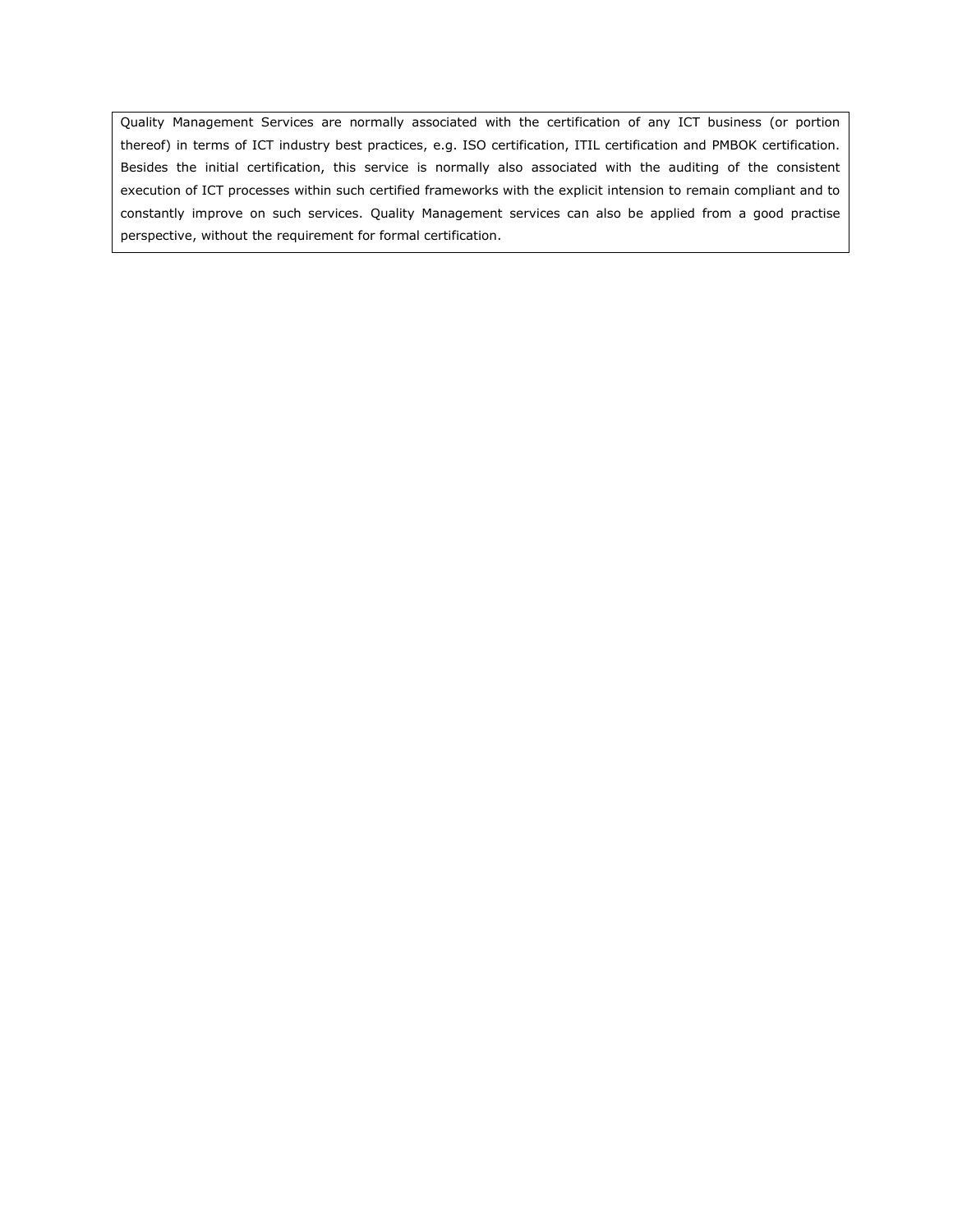Quality Management Services are normally associated with the certification of any ICT business (or portion thereof) in terms of ICT industry best practices, e.g. ISO certification, ITIL certification and PMBOK certification. Besides the initial certification, this service is normally also associated with the auditing of the consistent execution of ICT processes within such certified frameworks with the explicit intension to remain compliant and to constantly improve on such services. Quality Management services can also be applied from a good practise perspective, without the requirement for formal certification.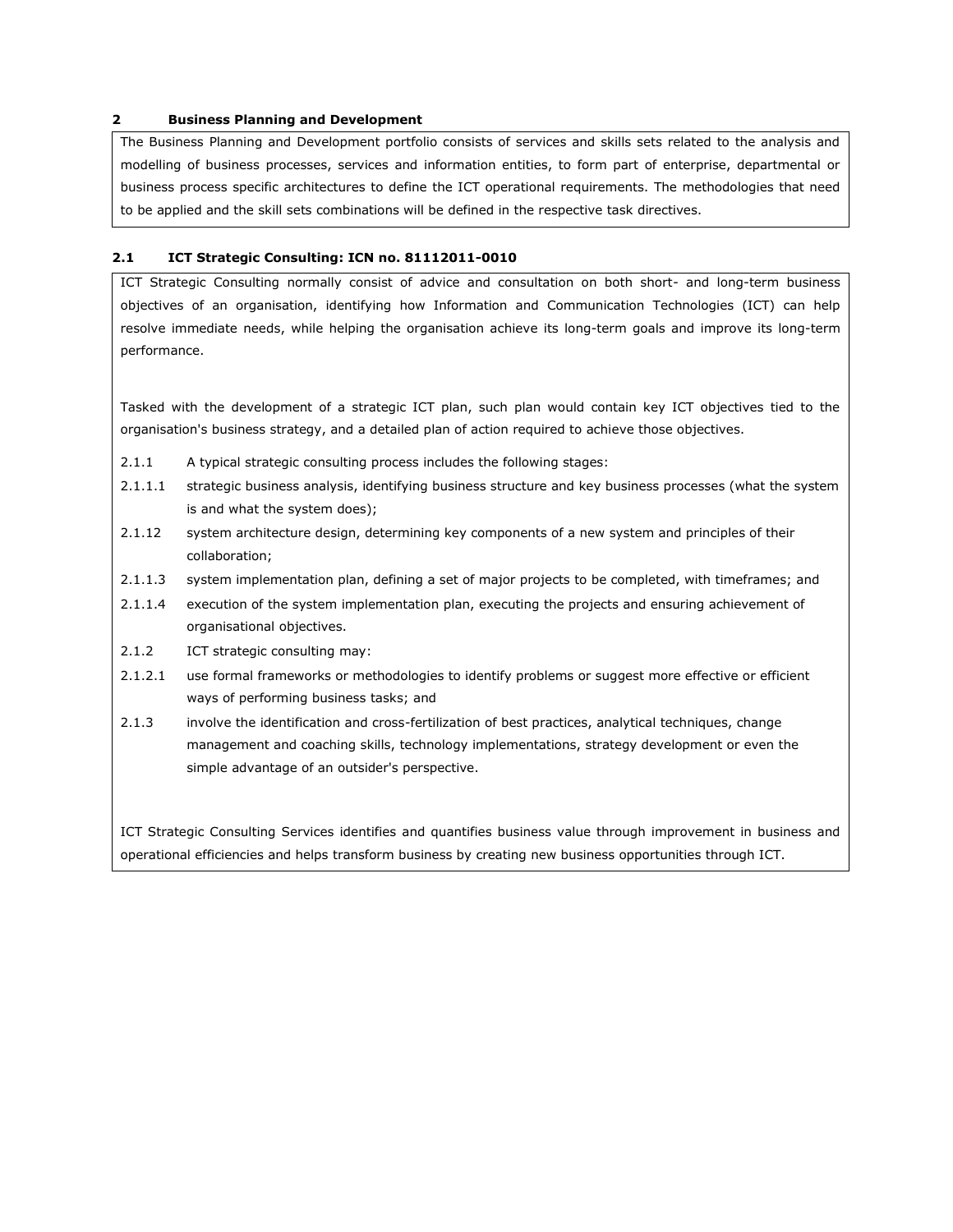## **2 Business Planning and Development**

The Business Planning and Development portfolio consists of services and skills sets related to the analysis and modelling of business processes, services and information entities, to form part of enterprise, departmental or business process specific architectures to define the ICT operational requirements. The methodologies that need to be applied and the skill sets combinations will be defined in the respective task directives.

## **2.1 ICT Strategic Consulting: ICN no. 81112011-0010**

ICT Strategic Consulting normally consist of advice and consultation on both short- and long-term business objectives of an organisation, identifying how Information and Communication Technologies (ICT) can help resolve immediate needs, while helping the organisation achieve its long-term goals and improve its long-term performance.

Tasked with the development of a strategic ICT plan, such plan would contain key ICT objectives tied to the organisation's business strategy, and a detailed plan of action required to achieve those objectives.

- 2.1.1 A typical strategic consulting process includes the following stages:
- 2.1.1.1 strategic business analysis, identifying business structure and key business processes (what the system is and what the system does);
- 2.1.12 system architecture design, determining key components of a new system and principles of their collaboration;
- 2.1.1.3 system implementation plan, defining a set of major projects to be completed, with timeframes; and
- 2.1.1.4 execution of the system implementation plan, executing the projects and ensuring achievement of organisational objectives.
- 2.1.2 ICT strategic consulting may:
- 2.1.2.1 use formal frameworks or methodologies to identify problems or suggest more effective or efficient ways of performing business tasks; and
- 2.1.3 involve the identification and cross-fertilization of best practices, analytical techniques, change management and coaching skills, technology implementations, strategy development or even the simple advantage of an outsider's perspective.

ICT Strategic Consulting Services identifies and quantifies business value through improvement in business and operational efficiencies and helps transform business by creating new business opportunities through ICT.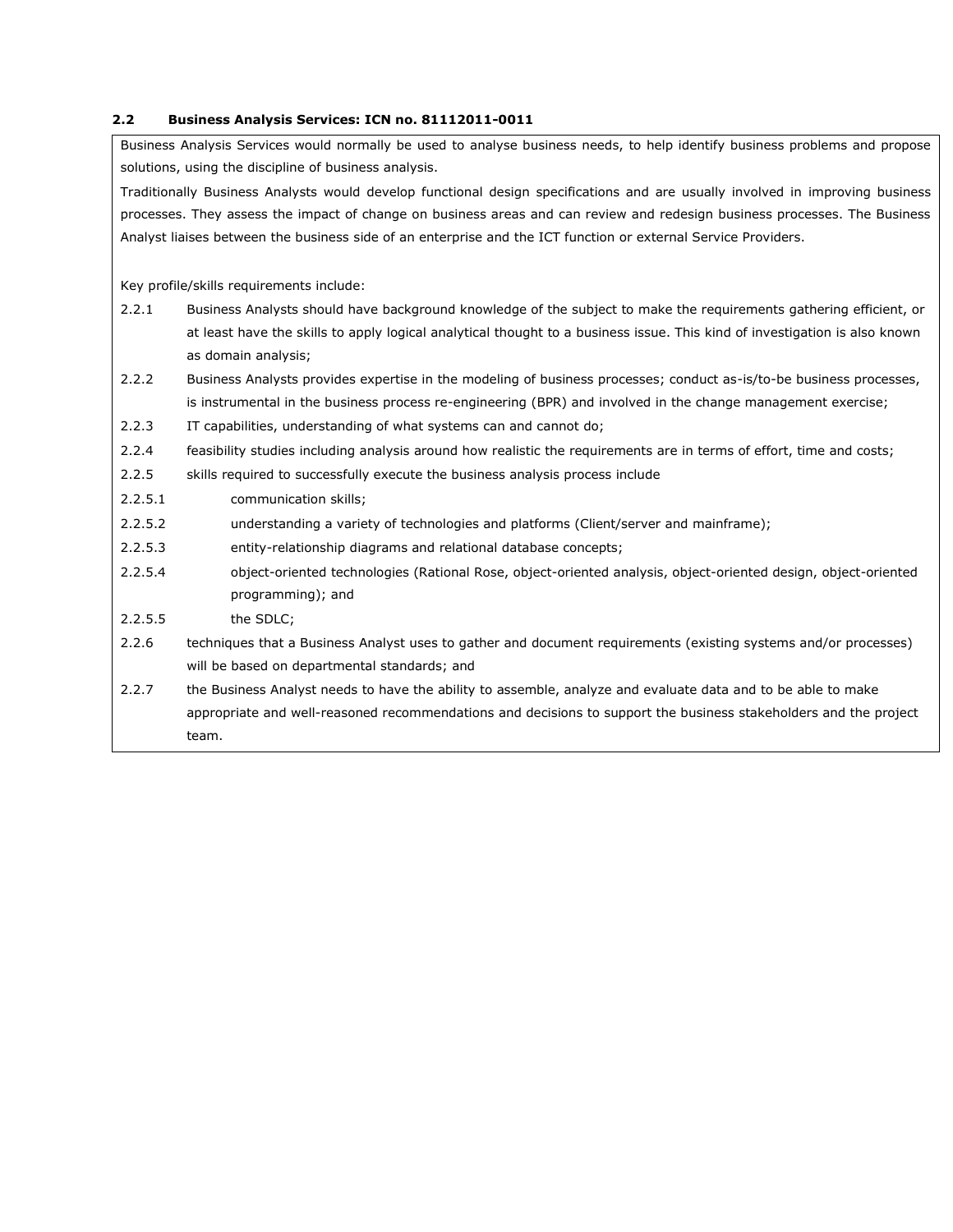## **2.2 Business Analysis Services: ICN no. 81112011-0011**

Business Analysis Services would normally be used to analyse business needs, to help identify business problems and propose solutions, using the discipline of business analysis.

Traditionally Business Analysts would develop functional design specifications and are usually involved in improving business processes. They assess the impact of change on business areas and can review and redesign business processes. The Business Analyst liaises between the business side of an enterprise and the ICT function or external Service Providers.

Key profile/skills requirements include:

- 2.2.1 Business Analysts should have background knowledge of the subject to make the requirements gathering efficient, or at least have the skills to apply logical analytical thought to a business issue. This kind of investigation is also known as domain analysis;
- 2.2.2 Business Analysts provides expertise in the modeling of business processes; conduct as-is/to-be business processes, is instrumental in the business process re-engineering (BPR) and involved in the change management exercise;
- 2.2.3 IT capabilities, understanding of what systems can and cannot do;
- 2.2.4 feasibility studies including analysis around how realistic the requirements are in terms of effort, time and costs;
- 2.2.5 skills required to successfully execute the business analysis process include
- 2.2.5.1 communication skills;
- 2.2.5.2 understanding a variety of technologies and platforms (Client/server and mainframe);
- 2.2.5.3 entity-relationship diagrams and relational database concepts;
- 2.2.5.4 object-oriented technologies (Rational Rose, object-oriented analysis, object-oriented design, object-oriented programming); and

2.2.5.5 the SDLC;

- 2.2.6 techniques that a Business Analyst uses to gather and document requirements (existing systems and/or processes) will be based on departmental standards; and
- 2.2.7 the Business Analyst needs to have the ability to assemble, analyze and evaluate data and to be able to make appropriate and well-reasoned recommendations and decisions to support the business stakeholders and the project team.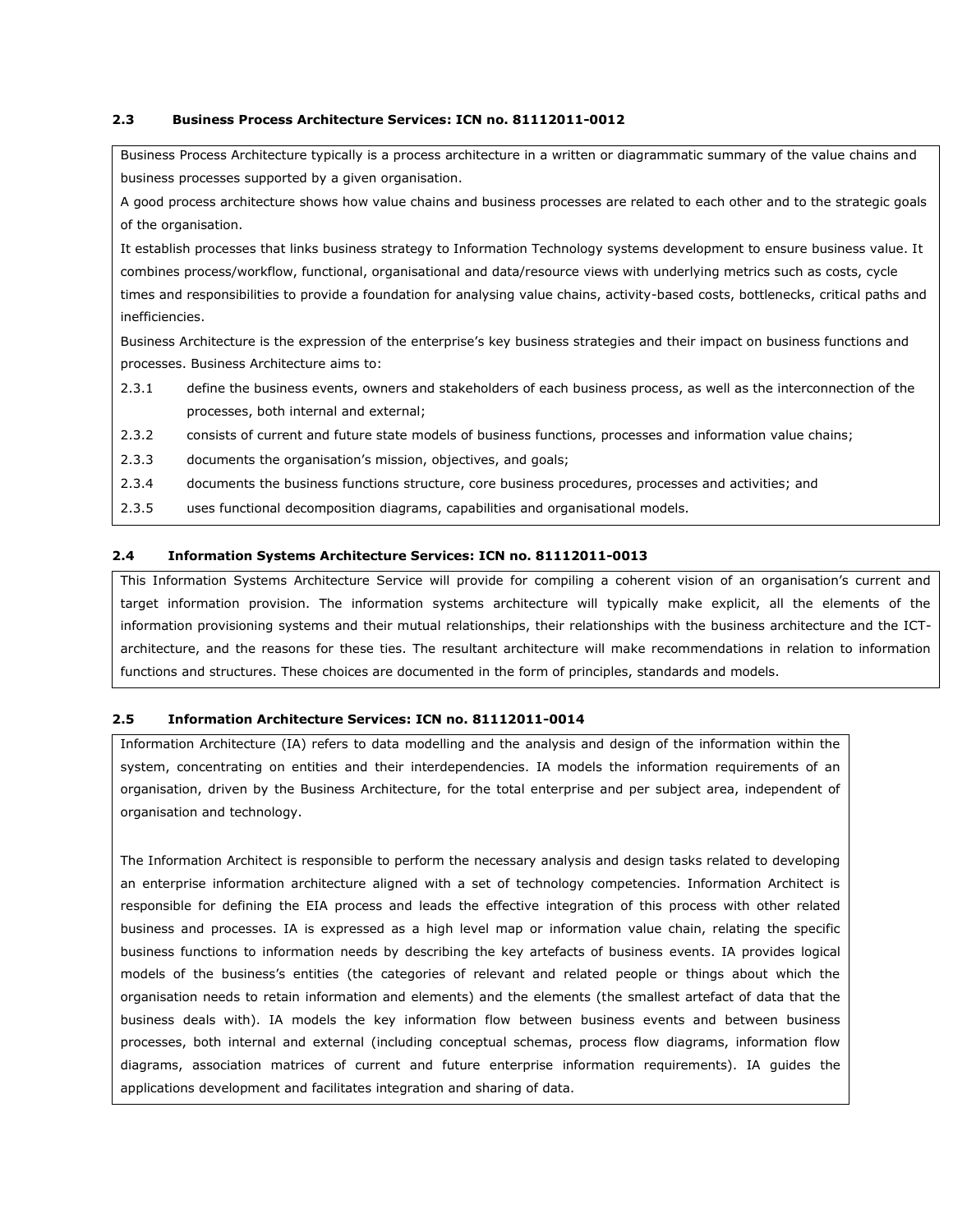#### **2.3 Business Process Architecture Services: ICN no. 81112011-0012**

Business Process Architecture typically is a process architecture in a written or diagrammatic summary of the value chains and business processes supported by a given organisation.

A good process architecture shows how value chains and business processes are related to each other and to the strategic goals of the organisation.

It establish processes that links business strategy to Information Technology systems development to ensure business value. It combines process/workflow, functional, organisational and data/resource views with underlying metrics such as costs, cycle times and responsibilities to provide a foundation for analysing value chains, activity-based costs, bottlenecks, critical paths and inefficiencies.

Business Architecture is the expression of the enterprise's key business strategies and their impact on business functions and processes. Business Architecture aims to:

- 2.3.1 define the business events, owners and stakeholders of each business process, as well as the interconnection of the processes, both internal and external;
- 2.3.2 consists of current and future state models of business functions, processes and information value chains;
- 2.3.3 documents the organisation's mission, objectives, and goals;
- 2.3.4 documents the business functions structure, core business procedures, processes and activities; and
- 2.3.5 uses functional decomposition diagrams, capabilities and organisational models.

## **2.4 Information Systems Architecture Services: ICN no. 81112011-0013**

This Information Systems Architecture Service will provide for compiling a coherent vision of an organisation's current and target information provision. The information systems architecture will typically make explicit, all the elements of the information provisioning systems and their mutual relationships, their relationships with the business architecture and the ICTarchitecture, and the reasons for these ties. The resultant architecture will make recommendations in relation to information functions and structures. These choices are documented in the form of principles, standards and models.

## **2.5 Information Architecture Services: ICN no. 81112011-0014**

Information Architecture (IA) refers to data modelling and the analysis and design of the information within the system, concentrating on entities and their interdependencies. IA models the information requirements of an organisation, driven by the Business Architecture, for the total enterprise and per subject area, independent of organisation and technology.

The Information Architect is responsible to perform the necessary analysis and design tasks related to developing an enterprise information architecture aligned with a set of technology competencies. Information Architect is responsible for defining the EIA process and leads the effective integration of this process with other related business and processes. IA is expressed as a high level map or information value chain, relating the specific business functions to information needs by describing the key artefacts of business events. IA provides logical models of the business's entities (the categories of relevant and related people or things about which the organisation needs to retain information and elements) and the elements (the smallest artefact of data that the business deals with). IA models the key information flow between business events and between business processes, both internal and external (including conceptual schemas, process flow diagrams, information flow diagrams, association matrices of current and future enterprise information requirements). IA guides the applications development and facilitates integration and sharing of data.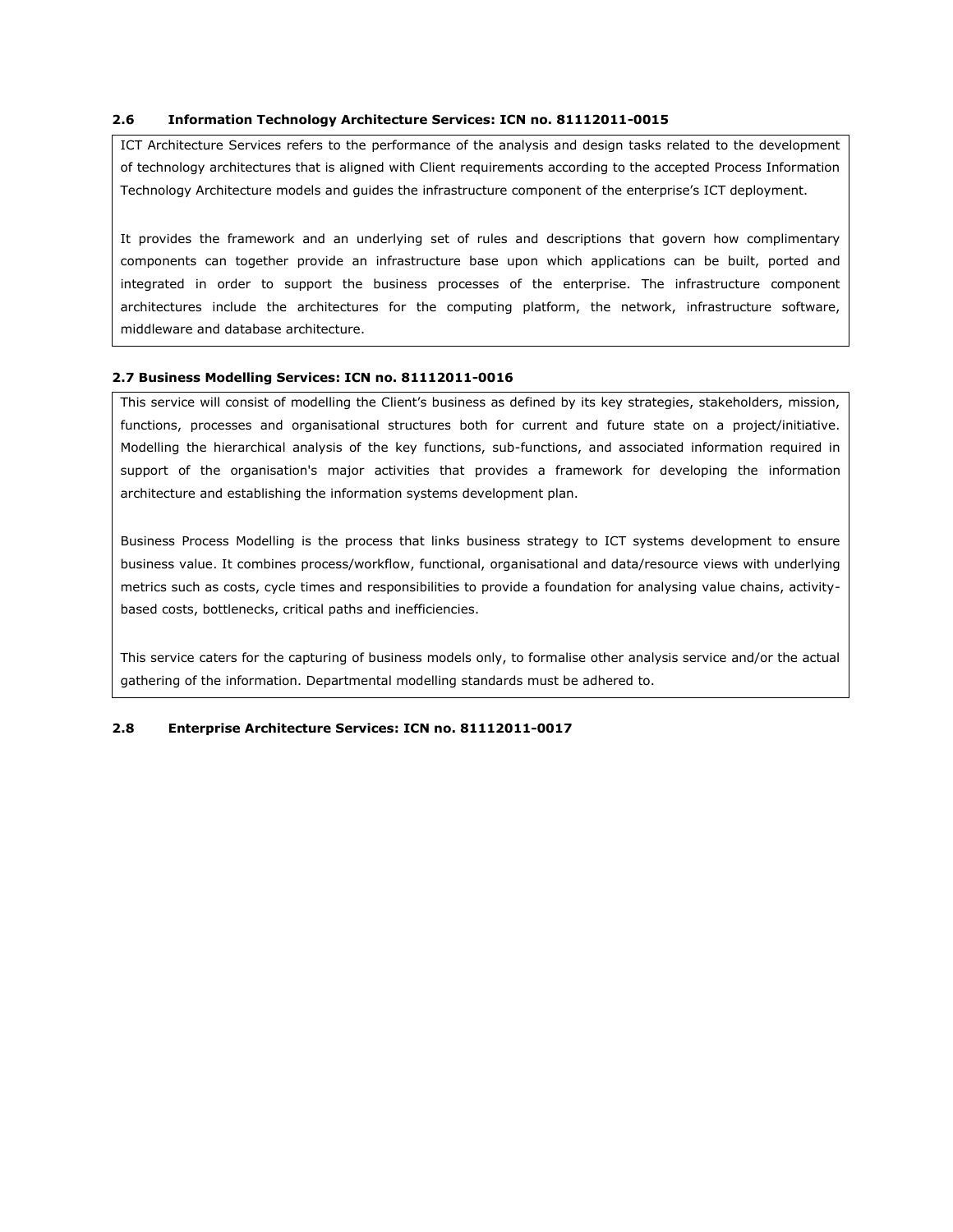#### **2.6 Information Technology Architecture Services: ICN no. 81112011-0015**

ICT Architecture Services refers to the performance of the analysis and design tasks related to the development of technology architectures that is aligned with Client requirements according to the accepted Process Information Technology Architecture models and guides the infrastructure component of the enterprise's ICT deployment.

It provides the framework and an underlying set of rules and descriptions that govern how complimentary components can together provide an infrastructure base upon which applications can be built, ported and integrated in order to support the business processes of the enterprise. The infrastructure component architectures include the architectures for the computing platform, the network, infrastructure software, middleware and database architecture.

## **2.7 Business Modelling Services: ICN no. 81112011-0016**

This service will consist of modelling the Client's business as defined by its key strategies, stakeholders, mission, functions, processes and organisational structures both for current and future state on a project/initiative. Modelling the hierarchical analysis of the key functions, sub-functions, and associated information required in support of the organisation's major activities that provides a framework for developing the information architecture and establishing the information systems development plan.

Business Process Modelling is the process that links business strategy to ICT systems development to ensure business value. It combines process/workflow, functional, organisational and data/resource views with underlying metrics such as costs, cycle times and responsibilities to provide a foundation for analysing value chains, activitybased costs, bottlenecks, critical paths and inefficiencies.

This service caters for the capturing of business models only, to formalise other analysis service and/or the actual gathering of the information. Departmental modelling standards must be adhered to.

## **2.8 Enterprise Architecture Services: ICN no. 81112011-0017**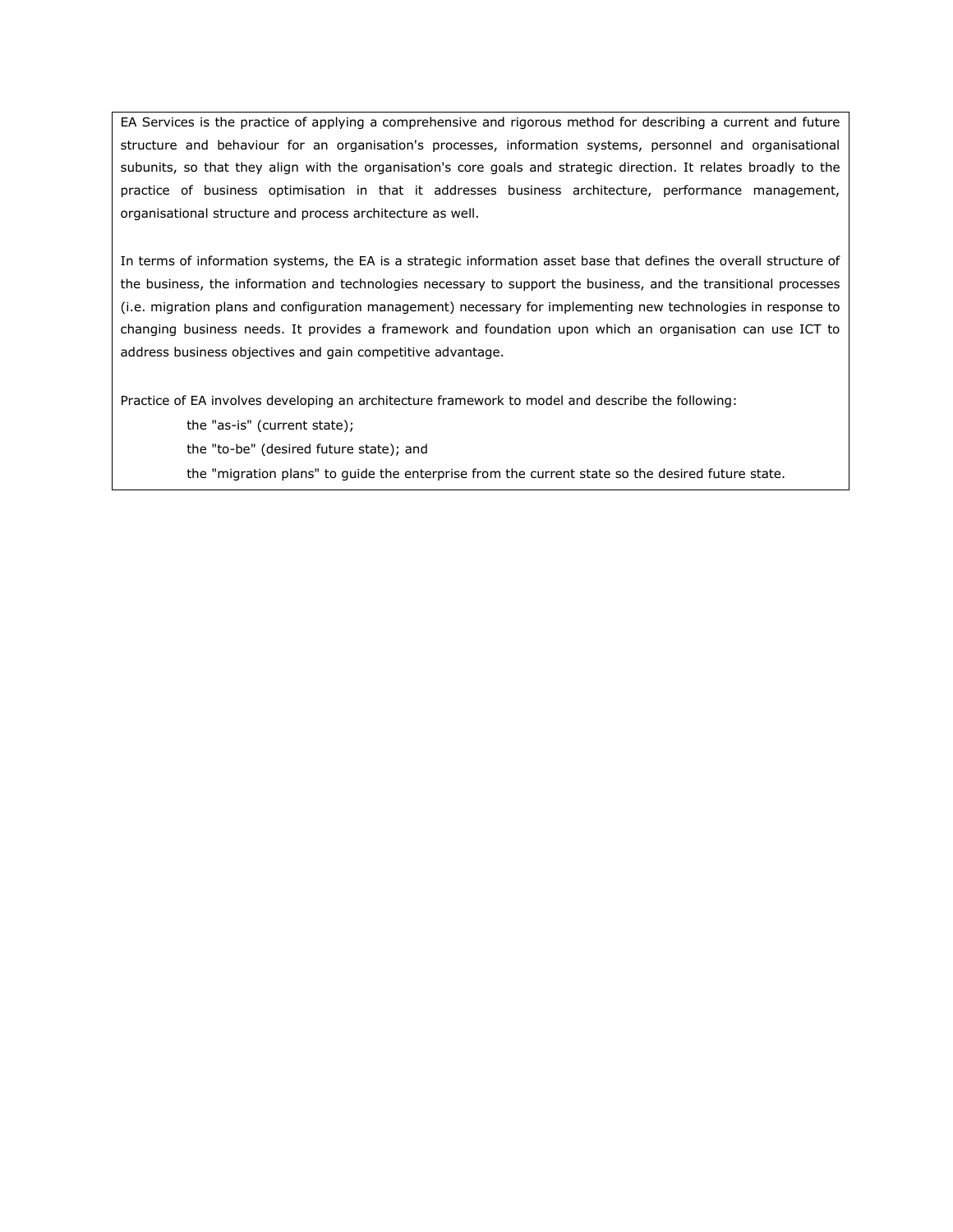EA Services is the practice of applying a comprehensive and rigorous method for describing a current and future structure and behaviour for an organisation's processes, information systems, personnel and organisational subunits, so that they align with the organisation's core goals and strategic direction. It relates broadly to the practice of business optimisation in that it addresses business architecture, performance management, organisational structure and process architecture as well.

In terms of information systems, the EA is a strategic information asset base that defines the overall structure of the business, the information and technologies necessary to support the business, and the transitional processes (i.e. migration plans and configuration management) necessary for implementing new technologies in response to changing business needs. It provides a framework and foundation upon which an organisation can use ICT to address business objectives and gain competitive advantage.

Practice of EA involves developing an architecture framework to model and describe the following:

the "as-is" (current state);

the "to-be" (desired future state); and

the "migration plans" to guide the enterprise from the current state so the desired future state.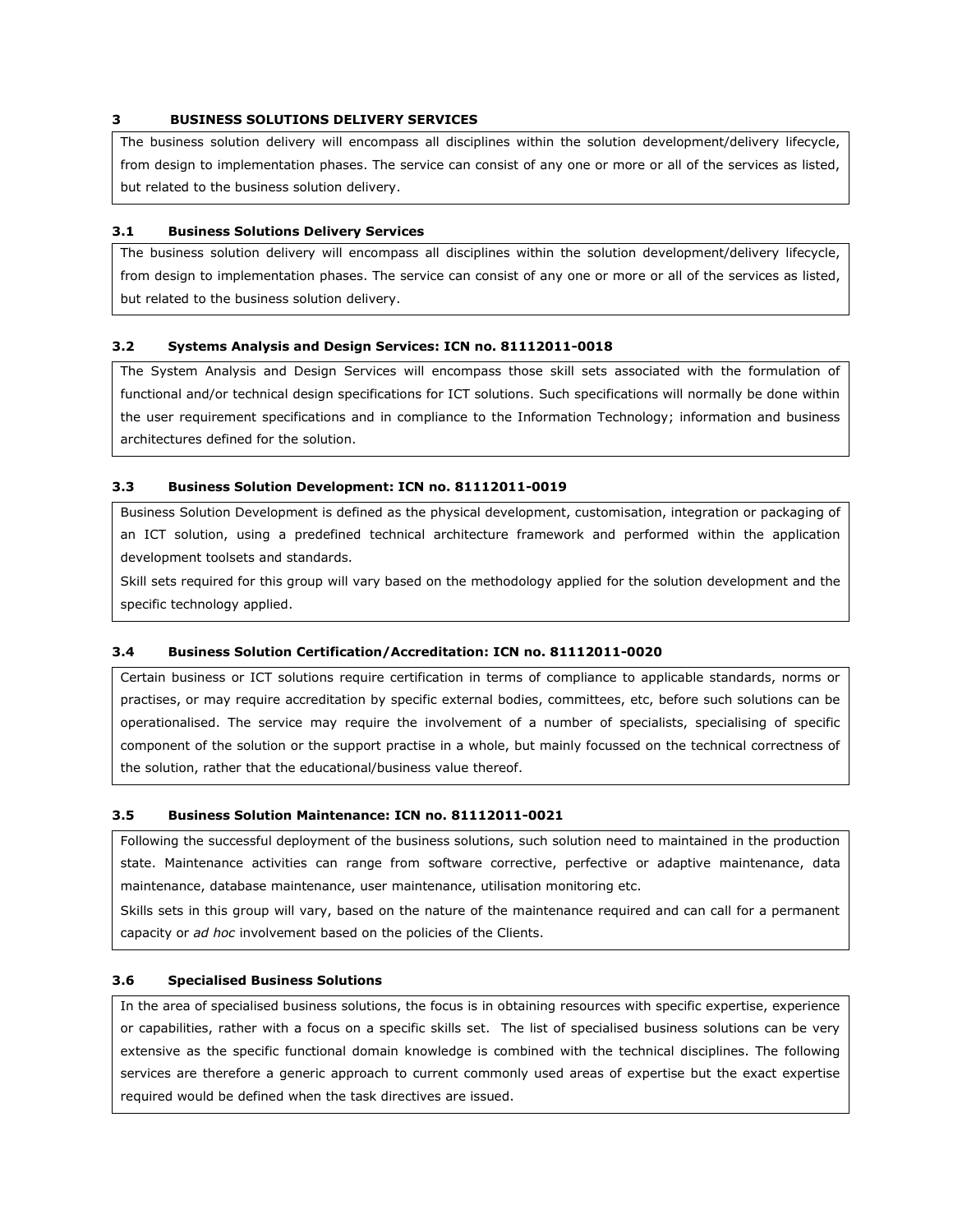# **3 BUSINESS SOLUTIONS DELIVERY SERVICES**

The business solution delivery will encompass all disciplines within the solution development/delivery lifecycle, from design to implementation phases. The service can consist of any one or more or all of the services as listed, but related to the business solution delivery.

## **3.1 Business Solutions Delivery Services**

The business solution delivery will encompass all disciplines within the solution development/delivery lifecycle, from design to implementation phases. The service can consist of any one or more or all of the services as listed, but related to the business solution delivery.

## **3.2 Systems Analysis and Design Services: ICN no. 81112011-0018**

The System Analysis and Design Services will encompass those skill sets associated with the formulation of functional and/or technical design specifications for ICT solutions. Such specifications will normally be done within the user requirement specifications and in compliance to the Information Technology; information and business architectures defined for the solution.

## **3.3 Business Solution Development: ICN no. 81112011-0019**

Business Solution Development is defined as the physical development, customisation, integration or packaging of an ICT solution, using a predefined technical architecture framework and performed within the application development toolsets and standards.

Skill sets required for this group will vary based on the methodology applied for the solution development and the specific technology applied.

## **3.4 Business Solution Certification/Accreditation: ICN no. 81112011-0020**

Certain business or ICT solutions require certification in terms of compliance to applicable standards, norms or practises, or may require accreditation by specific external bodies, committees, etc, before such solutions can be operationalised. The service may require the involvement of a number of specialists, specialising of specific component of the solution or the support practise in a whole, but mainly focussed on the technical correctness of the solution, rather that the educational/business value thereof.

#### **3.5 Business Solution Maintenance: ICN no. 81112011-0021**

Following the successful deployment of the business solutions, such solution need to maintained in the production state. Maintenance activities can range from software corrective, perfective or adaptive maintenance, data maintenance, database maintenance, user maintenance, utilisation monitoring etc.

Skills sets in this group will vary, based on the nature of the maintenance required and can call for a permanent capacity or *ad hoc* involvement based on the policies of the Clients.

#### **3.6 Specialised Business Solutions**

In the area of specialised business solutions, the focus is in obtaining resources with specific expertise, experience or capabilities, rather with a focus on a specific skills set. The list of specialised business solutions can be very extensive as the specific functional domain knowledge is combined with the technical disciplines. The following services are therefore a generic approach to current commonly used areas of expertise but the exact expertise required would be defined when the task directives are issued.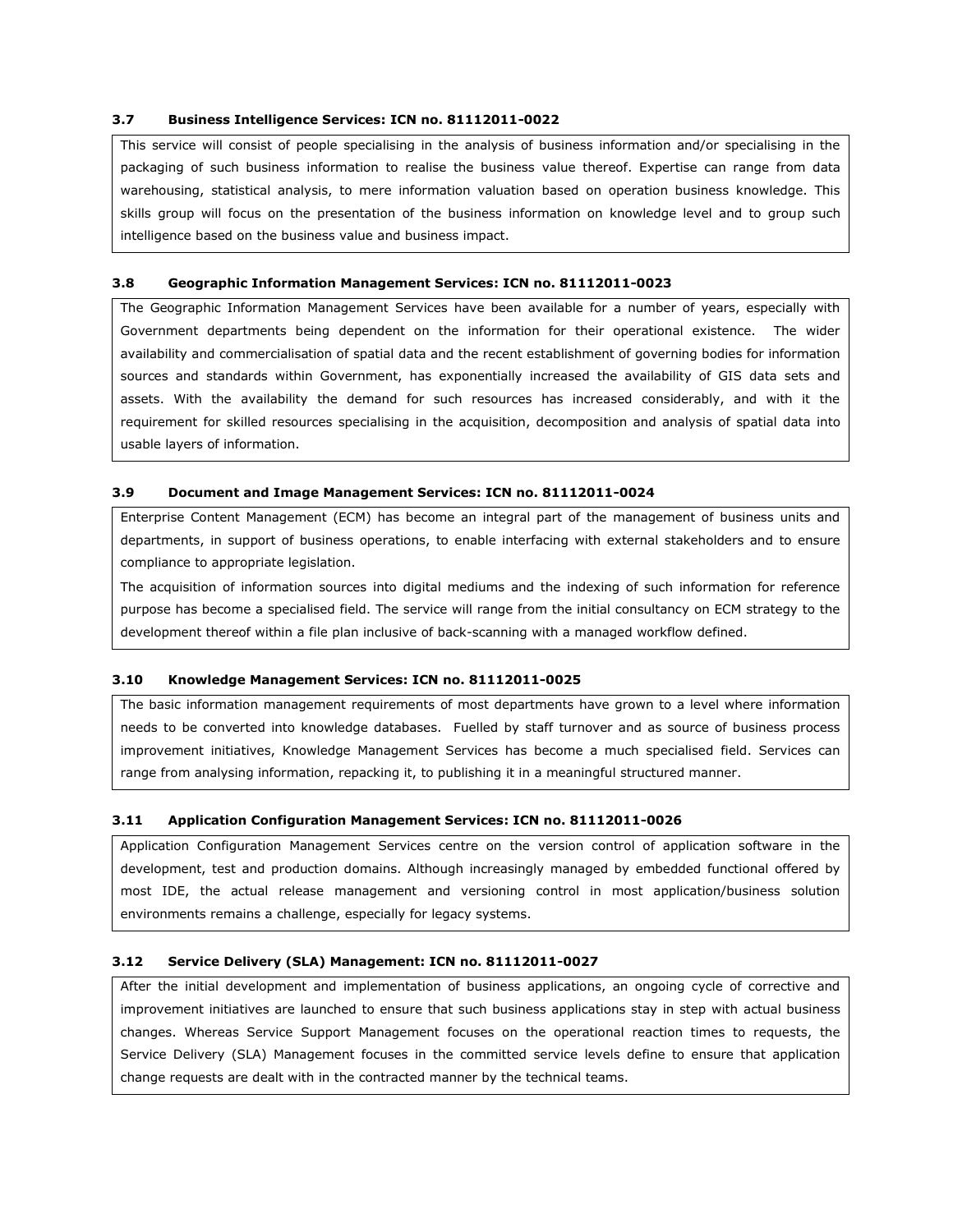#### **3.7 Business Intelligence Services: ICN no. 81112011-0022**

This service will consist of people specialising in the analysis of business information and/or specialising in the packaging of such business information to realise the business value thereof. Expertise can range from data warehousing, statistical analysis, to mere information valuation based on operation business knowledge. This skills group will focus on the presentation of the business information on knowledge level and to group such intelligence based on the business value and business impact.

#### **3.8 Geographic Information Management Services: ICN no. 81112011-0023**

The Geographic Information Management Services have been available for a number of years, especially with Government departments being dependent on the information for their operational existence. The wider availability and commercialisation of spatial data and the recent establishment of governing bodies for information sources and standards within Government, has exponentially increased the availability of GIS data sets and assets. With the availability the demand for such resources has increased considerably, and with it the requirement for skilled resources specialising in the acquisition, decomposition and analysis of spatial data into usable layers of information.

#### **3.9 Document and Image Management Services: ICN no. 81112011-0024**

Enterprise Content Management (ECM) has become an integral part of the management of business units and departments, in support of business operations, to enable interfacing with external stakeholders and to ensure compliance to appropriate legislation.

The acquisition of information sources into digital mediums and the indexing of such information for reference purpose has become a specialised field. The service will range from the initial consultancy on ECM strategy to the development thereof within a file plan inclusive of back-scanning with a managed workflow defined.

#### **3.10 Knowledge Management Services: ICN no. 81112011-0025**

The basic information management requirements of most departments have grown to a level where information needs to be converted into knowledge databases. Fuelled by staff turnover and as source of business process improvement initiatives, Knowledge Management Services has become a much specialised field. Services can range from analysing information, repacking it, to publishing it in a meaningful structured manner.

#### **3.11 Application Configuration Management Services: ICN no. 81112011-0026**

Application Configuration Management Services centre on the version control of application software in the development, test and production domains. Although increasingly managed by embedded functional offered by most IDE, the actual release management and versioning control in most application/business solution environments remains a challenge, especially for legacy systems.

#### **3.12 Service Delivery (SLA) Management: ICN no. 81112011-0027**

After the initial development and implementation of business applications, an ongoing cycle of corrective and improvement initiatives are launched to ensure that such business applications stay in step with actual business changes. Whereas Service Support Management focuses on the operational reaction times to requests, the Service Delivery (SLA) Management focuses in the committed service levels define to ensure that application change requests are dealt with in the contracted manner by the technical teams.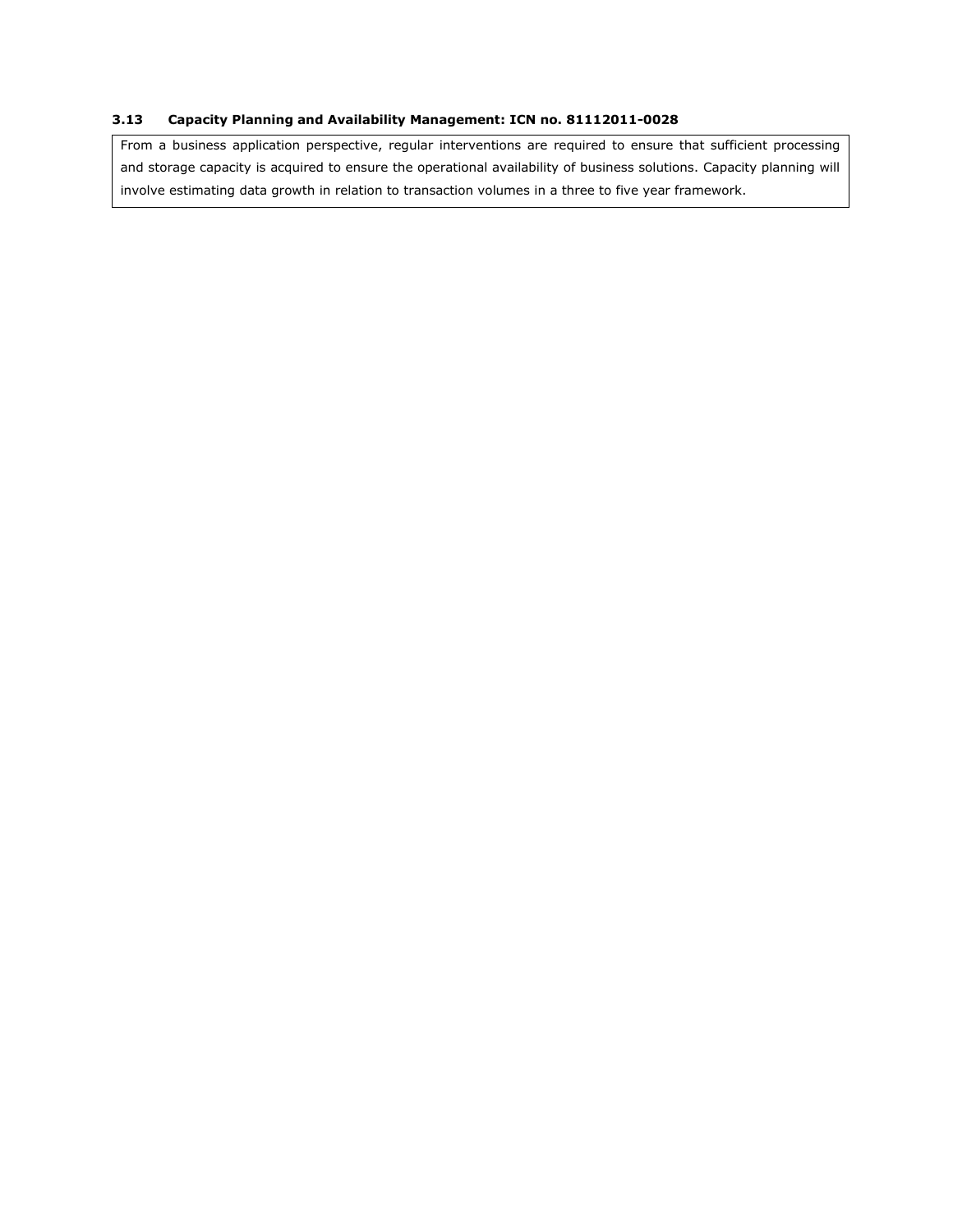# **3.13 Capacity Planning and Availability Management: ICN no. 81112011-0028**

From a business application perspective, regular interventions are required to ensure that sufficient processing and storage capacity is acquired to ensure the operational availability of business solutions. Capacity planning will involve estimating data growth in relation to transaction volumes in a three to five year framework.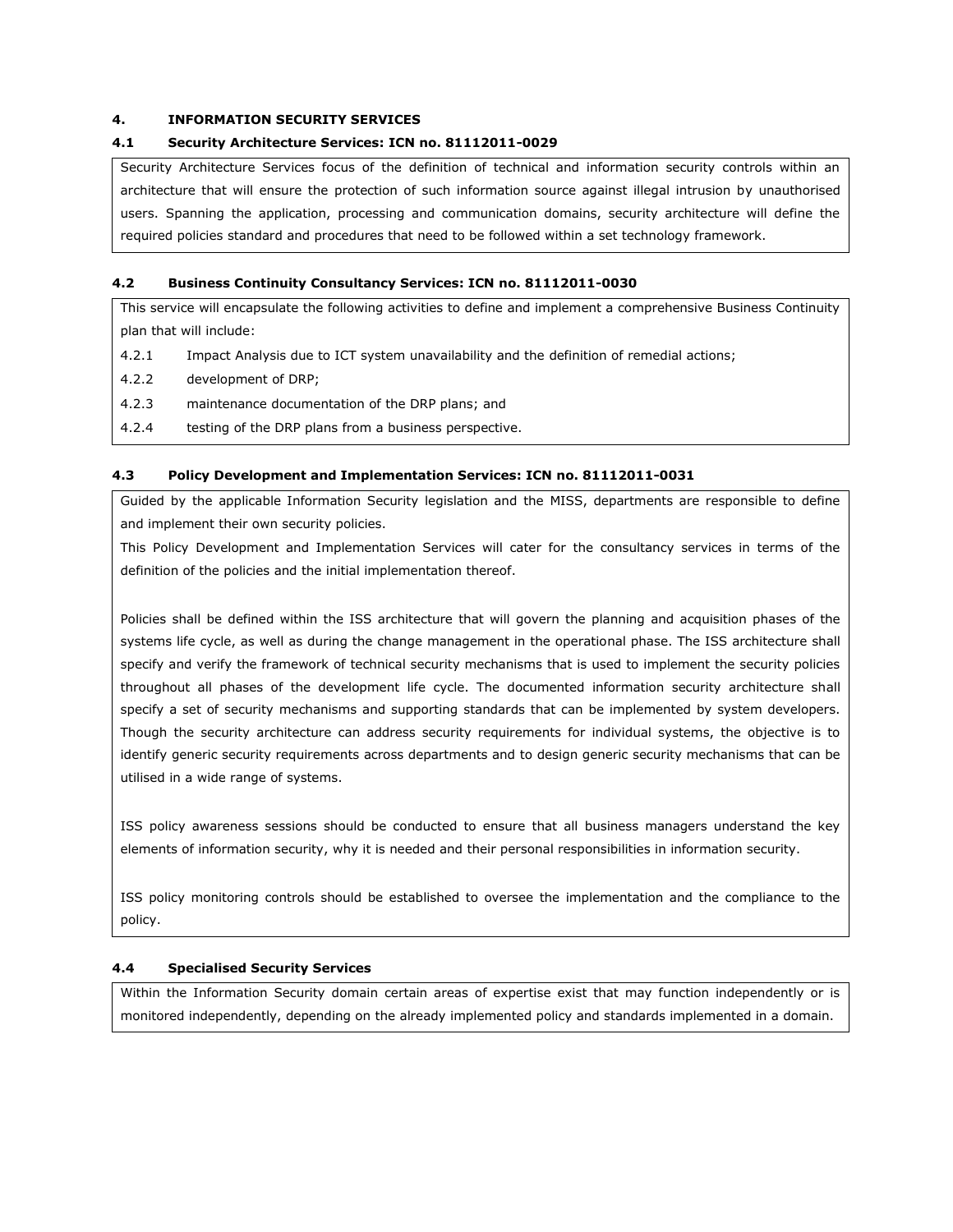## **4. INFORMATION SECURITY SERVICES**

# **4.1 Security Architecture Services: ICN no. 81112011-0029**

Security Architecture Services focus of the definition of technical and information security controls within an architecture that will ensure the protection of such information source against illegal intrusion by unauthorised users. Spanning the application, processing and communication domains, security architecture will define the required policies standard and procedures that need to be followed within a set technology framework.

## **4.2 Business Continuity Consultancy Services: ICN no. 81112011-0030**

This service will encapsulate the following activities to define and implement a comprehensive Business Continuity plan that will include:

- 4.2.1 Impact Analysis due to ICT system unavailability and the definition of remedial actions;
- 4.2.2 development of DRP;
- 4.2.3 maintenance documentation of the DRP plans; and
- 4.2.4 testing of the DRP plans from a business perspective.

## **4.3 Policy Development and Implementation Services: ICN no. 81112011-0031**

Guided by the applicable Information Security legislation and the MISS, departments are responsible to define and implement their own security policies.

This Policy Development and Implementation Services will cater for the consultancy services in terms of the definition of the policies and the initial implementation thereof.

Policies shall be defined within the ISS architecture that will govern the planning and acquisition phases of the systems life cycle, as well as during the change management in the operational phase. The ISS architecture shall specify and verify the framework of technical security mechanisms that is used to implement the security policies throughout all phases of the development life cycle. The documented information security architecture shall specify a set of security mechanisms and supporting standards that can be implemented by system developers. Though the security architecture can address security requirements for individual systems, the objective is to identify generic security requirements across departments and to design generic security mechanisms that can be utilised in a wide range of systems.

ISS policy awareness sessions should be conducted to ensure that all business managers understand the key elements of information security, why it is needed and their personal responsibilities in information security.

ISS policy monitoring controls should be established to oversee the implementation and the compliance to the policy.

## **4.4 Specialised Security Services**

Within the Information Security domain certain areas of expertise exist that may function independently or is monitored independently, depending on the already implemented policy and standards implemented in a domain.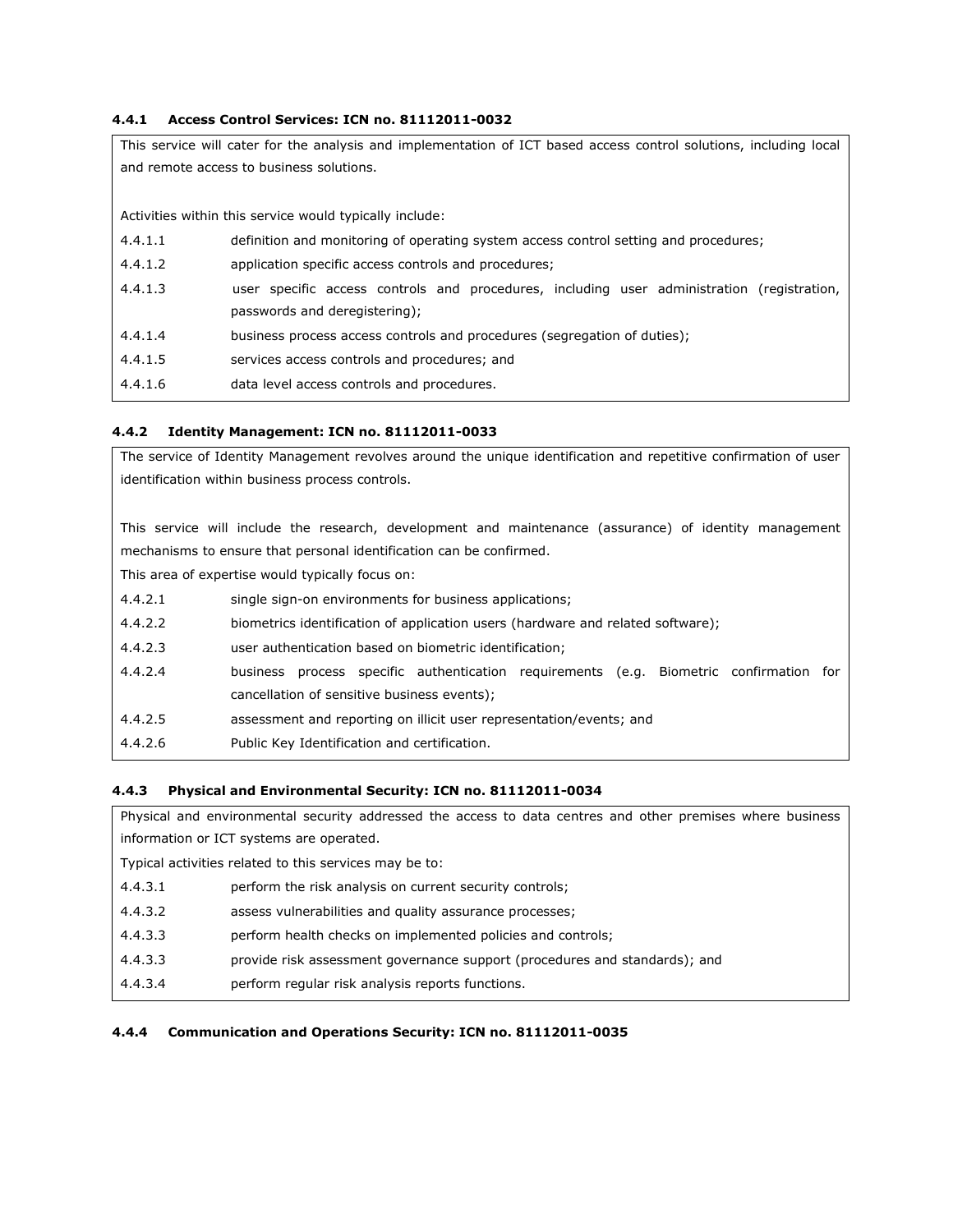# **4.4.1 Access Control Services: ICN no. 81112011-0032**

| This service will cater for the analysis and implementation of ICT based access control solutions, including local |                                                                                            |  |
|--------------------------------------------------------------------------------------------------------------------|--------------------------------------------------------------------------------------------|--|
| and remote access to business solutions.                                                                           |                                                                                            |  |
|                                                                                                                    |                                                                                            |  |
|                                                                                                                    | Activities within this service would typically include:                                    |  |
| 4.4.1.1                                                                                                            | definition and monitoring of operating system access control setting and procedures;       |  |
| 4.4.1.2                                                                                                            | application specific access controls and procedures;                                       |  |
| 4.4.1.3                                                                                                            | user specific access controls and procedures, including user administration (registration, |  |
|                                                                                                                    | passwords and deregistering);                                                              |  |
| 4.4.1.4                                                                                                            | business process access controls and procedures (segregation of duties);                   |  |
| 4.4.1.5                                                                                                            | services access controls and procedures; and                                               |  |
| 4.4.1.6                                                                                                            | data level access controls and procedures.                                                 |  |

## **4.4.2 Identity Management: ICN no. 81112011-0033**

The service of Identity Management revolves around the unique identification and repetitive confirmation of user identification within business process controls.

This service will include the research, development and maintenance (assurance) of identity management mechanisms to ensure that personal identification can be confirmed.

This area of expertise would typically focus on:

| 4.4.2.1 | single sign-on environments for business applications;                                 |
|---------|----------------------------------------------------------------------------------------|
| 4.4.2.2 | biometrics identification of application users (hardware and related software);        |
| 4.4.2.3 | user authentication based on biometric identification;                                 |
| 4.4.2.4 | business process specific authentication requirements (e.g. Biometric confirmation for |
|         | cancellation of sensitive business events);                                            |
| 4.4.2.5 | assessment and reporting on illicit user representation/events; and                    |
| 4.4.2.6 | Public Key Identification and certification.                                           |

## **4.4.3 Physical and Environmental Security: ICN no. 81112011-0034**

Physical and environmental security addressed the access to data centres and other premises where business information or ICT systems are operated.

Typical activities related to this services may be to:

- 4.4.3.1 perform the risk analysis on current security controls;
- 4.4.3.2 assess vulnerabilities and quality assurance processes;
- 4.4.3.3 perform health checks on implemented policies and controls;
- 4.4.3.3 provide risk assessment governance support (procedures and standards); and
- 4.4.3.4 perform regular risk analysis reports functions.

#### **4.4.4 Communication and Operations Security: ICN no. 81112011-0035**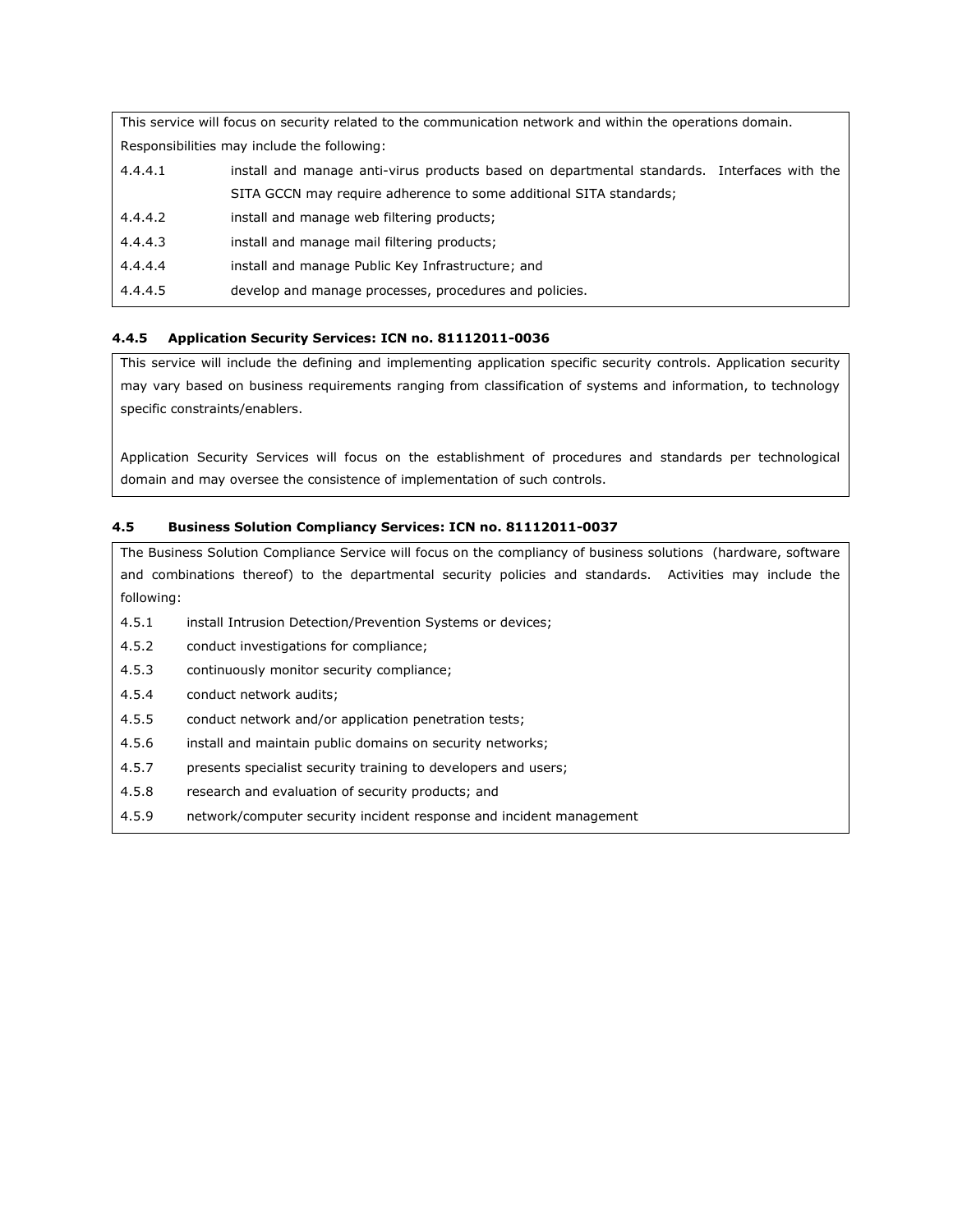| This service will focus on security related to the communication network and within the operations domain. |                                                                                             |  |
|------------------------------------------------------------------------------------------------------------|---------------------------------------------------------------------------------------------|--|
| Responsibilities may include the following:                                                                |                                                                                             |  |
| 4.4.4.1                                                                                                    | install and manage anti-virus products based on departmental standards. Interfaces with the |  |
|                                                                                                            | SITA GCCN may require adherence to some additional SITA standards;                          |  |
| 4.4.4.2                                                                                                    | install and manage web filtering products;                                                  |  |
| 4.4.4.3                                                                                                    | install and manage mail filtering products;                                                 |  |
| 4.4.4.4                                                                                                    | install and manage Public Key Infrastructure; and                                           |  |
| 4.4.4.5                                                                                                    | develop and manage processes, procedures and policies.                                      |  |
|                                                                                                            |                                                                                             |  |

# **4.4.5 Application Security Services: ICN no. 81112011-0036**

This service will include the defining and implementing application specific security controls. Application security may vary based on business requirements ranging from classification of systems and information, to technology specific constraints/enablers.

Application Security Services will focus on the establishment of procedures and standards per technological domain and may oversee the consistence of implementation of such controls.

# **4.5 Business Solution Compliancy Services: ICN no. 81112011-0037**

The Business Solution Compliance Service will focus on the compliancy of business solutions (hardware, software and combinations thereof) to the departmental security policies and standards. Activities may include the following:

- 4.5.1 install Intrusion Detection/Prevention Systems or devices;
- 4.5.2 conduct investigations for compliance;
- 4.5.3 continuously monitor security compliance;
- 4.5.4 conduct network audits;
- 4.5.5 conduct network and/or application penetration tests;
- 4.5.6 install and maintain public domains on security networks;
- 4.5.7 presents specialist security training to developers and users;
- 4.5.8 research and evaluation of security products; and
- 4.5.9 network/computer security incident response and incident management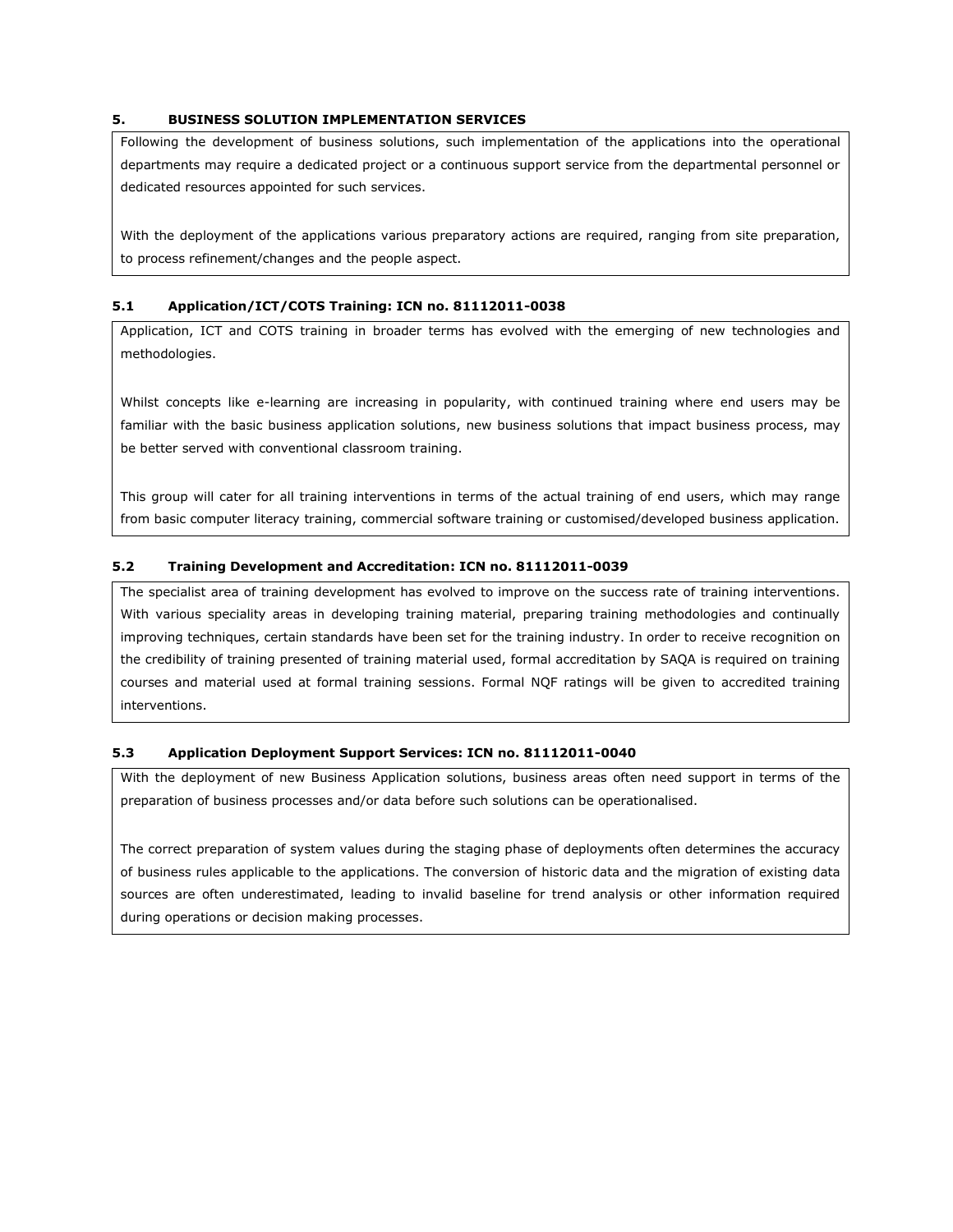# **5. BUSINESS SOLUTION IMPLEMENTATION SERVICES**

Following the development of business solutions, such implementation of the applications into the operational departments may require a dedicated project or a continuous support service from the departmental personnel or dedicated resources appointed for such services.

With the deployment of the applications various preparatory actions are required, ranging from site preparation, to process refinement/changes and the people aspect.

# **5.1 Application/ICT/COTS Training: ICN no. 81112011-0038**

Application, ICT and COTS training in broader terms has evolved with the emerging of new technologies and methodologies.

Whilst concepts like e-learning are increasing in popularity, with continued training where end users may be familiar with the basic business application solutions, new business solutions that impact business process, may be better served with conventional classroom training.

This group will cater for all training interventions in terms of the actual training of end users, which may range from basic computer literacy training, commercial software training or customised/developed business application.

# **5.2 Training Development and Accreditation: ICN no. 81112011-0039**

The specialist area of training development has evolved to improve on the success rate of training interventions. With various speciality areas in developing training material, preparing training methodologies and continually improving techniques, certain standards have been set for the training industry. In order to receive recognition on the credibility of training presented of training material used, formal accreditation by SAQA is required on training courses and material used at formal training sessions. Formal NQF ratings will be given to accredited training interventions.

## **5.3 Application Deployment Support Services: ICN no. 81112011-0040**

With the deployment of new Business Application solutions, business areas often need support in terms of the preparation of business processes and/or data before such solutions can be operationalised.

The correct preparation of system values during the staging phase of deployments often determines the accuracy of business rules applicable to the applications. The conversion of historic data and the migration of existing data sources are often underestimated, leading to invalid baseline for trend analysis or other information required during operations or decision making processes.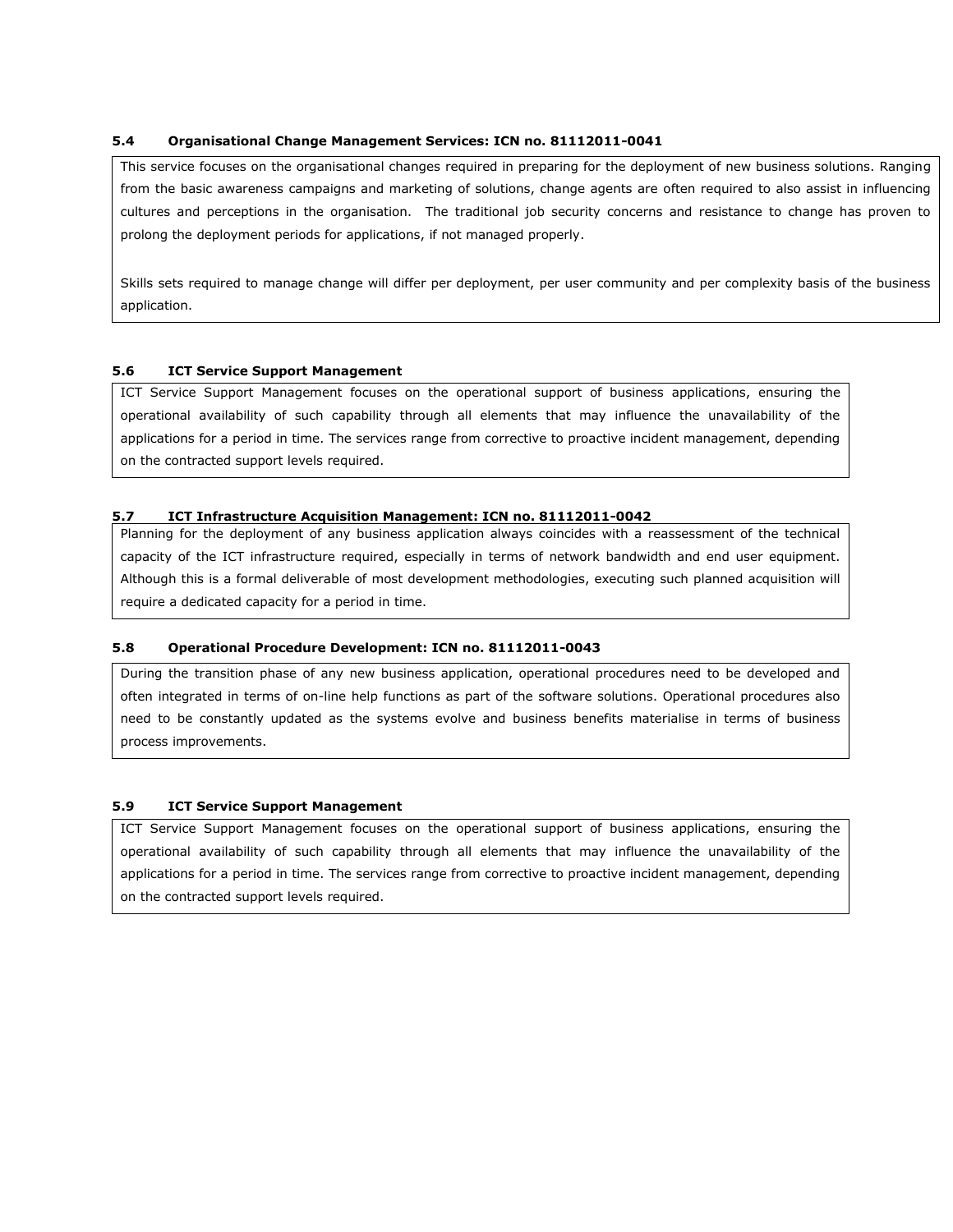## **5.4 Organisational Change Management Services: ICN no. 81112011-0041**

This service focuses on the organisational changes required in preparing for the deployment of new business solutions. Ranging from the basic awareness campaigns and marketing of solutions, change agents are often required to also assist in influencing cultures and perceptions in the organisation. The traditional job security concerns and resistance to change has proven to prolong the deployment periods for applications, if not managed properly.

Skills sets required to manage change will differ per deployment, per user community and per complexity basis of the business application.

# **5.6 ICT Service Support Management**

ICT Service Support Management focuses on the operational support of business applications, ensuring the operational availability of such capability through all elements that may influence the unavailability of the applications for a period in time. The services range from corrective to proactive incident management, depending on the contracted support levels required.

## **5.7 ICT Infrastructure Acquisition Management: ICN no. 81112011-0042**

Planning for the deployment of any business application always coincides with a reassessment of the technical capacity of the ICT infrastructure required, especially in terms of network bandwidth and end user equipment. Although this is a formal deliverable of most development methodologies, executing such planned acquisition will require a dedicated capacity for a period in time.

## **5.8 Operational Procedure Development: ICN no. 81112011-0043**

During the transition phase of any new business application, operational procedures need to be developed and often integrated in terms of on-line help functions as part of the software solutions. Operational procedures also need to be constantly updated as the systems evolve and business benefits materialise in terms of business process improvements.

## **5.9 ICT Service Support Management**

ICT Service Support Management focuses on the operational support of business applications, ensuring the operational availability of such capability through all elements that may influence the unavailability of the applications for a period in time. The services range from corrective to proactive incident management, depending on the contracted support levels required.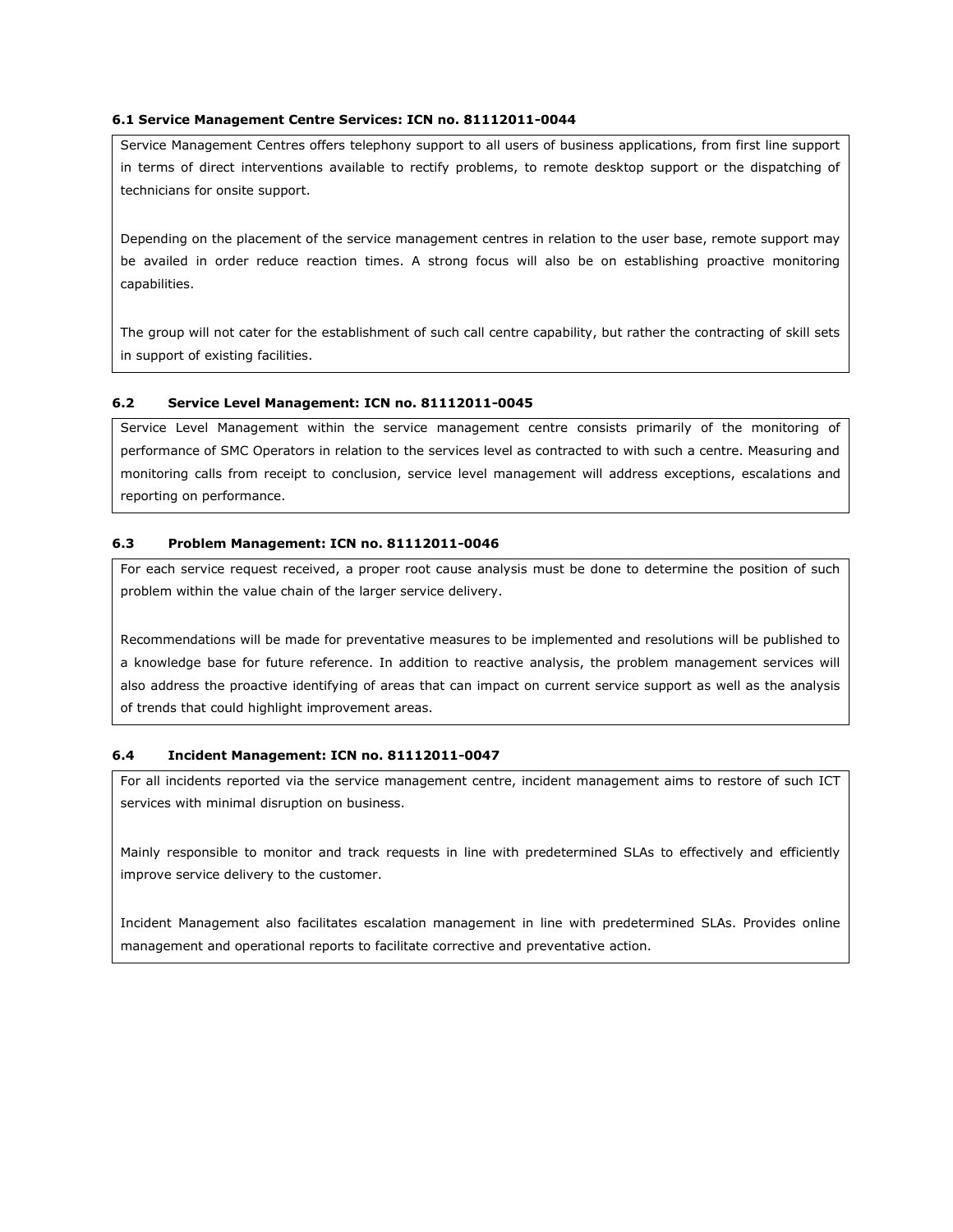#### **6.1 Service Management Centre Services: ICN no. 81112011-0044**

Service Management Centres offers telephony support to all users of business applications, from first line support in terms of direct interventions available to rectify problems, to remote desktop support or the dispatching of technicians for onsite support.

Depending on the placement of the service management centres in relation to the user base, remote support may be availed in order reduce reaction times. A strong focus will also be on establishing proactive monitoring capabilities.

The group will not cater for the establishment of such call centre capability, but rather the contracting of skill sets in support of existing facilities.

## **6.2 Service Level Management: ICN no. 81112011-0045**

Service Level Management within the service management centre consists primarily of the monitoring of performance of SMC Operators in relation to the services level as contracted to with such a centre. Measuring and monitoring calls from receipt to conclusion, service level management will address exceptions, escalations and reporting on performance.

## **6.3 Problem Management: ICN no. 81112011-0046**

For each service request received, a proper root cause analysis must be done to determine the position of such problem within the value chain of the larger service delivery.

Recommendations will be made for preventative measures to be implemented and resolutions will be published to a knowledge base for future reference. In addition to reactive analysis, the problem management services will also address the proactive identifying of areas that can impact on current service support as well as the analysis of trends that could highlight improvement areas.

#### **6.4 Incident Management: ICN no. 81112011-0047**

For all incidents reported via the service management centre, incident management aims to restore of such ICT services with minimal disruption on business.

Mainly responsible to monitor and track requests in line with predetermined SLAs to effectively and efficiently improve service delivery to the customer.

Incident Management also facilitates escalation management in line with predetermined SLAs. Provides online management and operational reports to facilitate corrective and preventative action.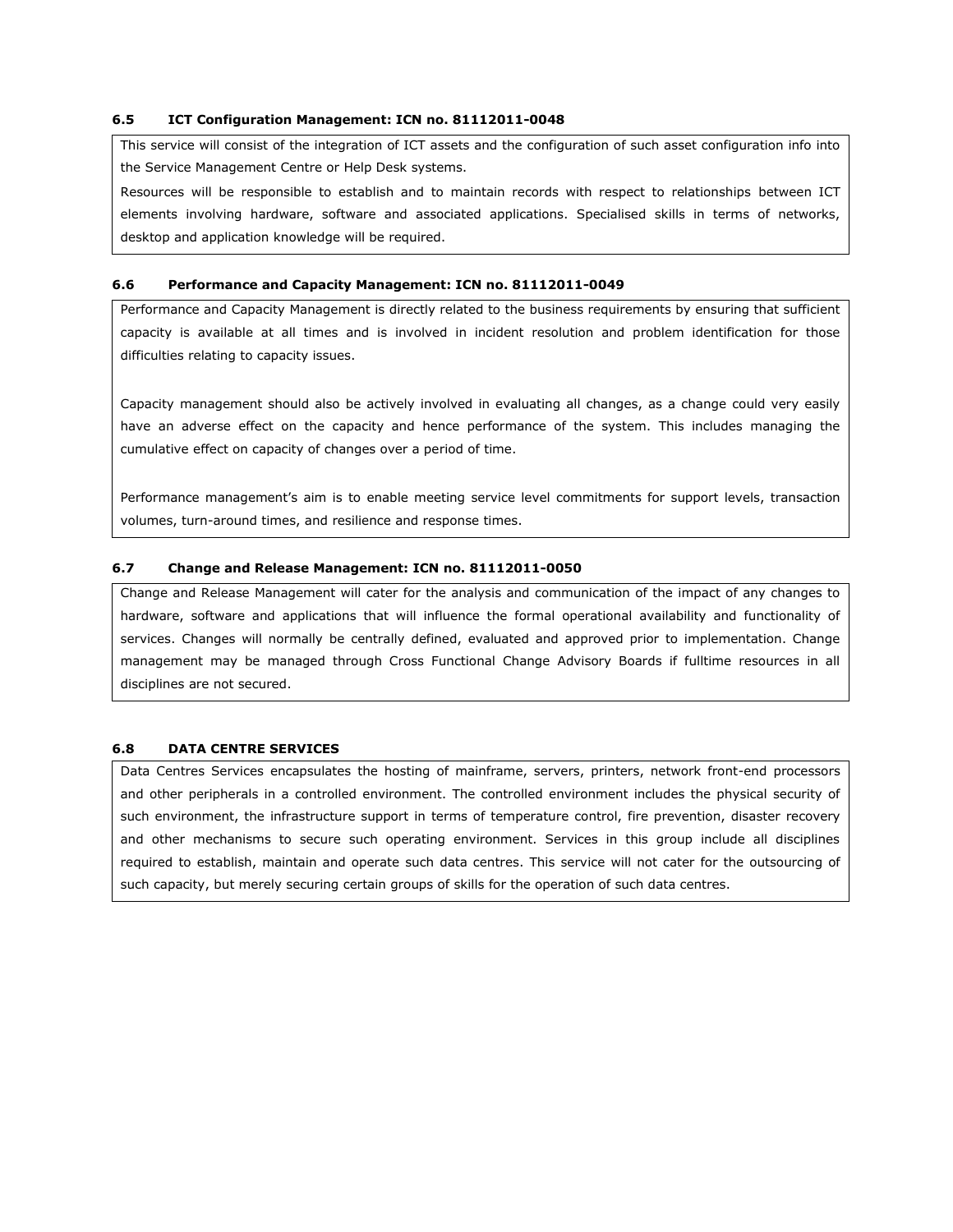#### **6.5 ICT Configuration Management: ICN no. 81112011-0048**

This service will consist of the integration of ICT assets and the configuration of such asset configuration info into the Service Management Centre or Help Desk systems.

Resources will be responsible to establish and to maintain records with respect to relationships between ICT elements involving hardware, software and associated applications. Specialised skills in terms of networks, desktop and application knowledge will be required.

## **6.6 Performance and Capacity Management: ICN no. 81112011-0049**

Performance and Capacity Management is directly related to the business requirements by ensuring that sufficient capacity is available at all times and is involved in incident resolution and problem identification for those difficulties relating to capacity issues.

Capacity management should also be actively involved in evaluating all changes, as a change could very easily have an adverse effect on the capacity and hence performance of the system. This includes managing the cumulative effect on capacity of changes over a period of time.

Performance management's aim is to enable meeting service level commitments for support levels, transaction volumes, turn-around times, and resilience and response times.

## **6.7 Change and Release Management: ICN no. 81112011-0050**

Change and Release Management will cater for the analysis and communication of the impact of any changes to hardware, software and applications that will influence the formal operational availability and functionality of services. Changes will normally be centrally defined, evaluated and approved prior to implementation. Change management may be managed through Cross Functional Change Advisory Boards if fulltime resources in all disciplines are not secured.

## **6.8 DATA CENTRE SERVICES**

Data Centres Services encapsulates the hosting of mainframe, servers, printers, network front-end processors and other peripherals in a controlled environment. The controlled environment includes the physical security of such environment, the infrastructure support in terms of temperature control, fire prevention, disaster recovery and other mechanisms to secure such operating environment. Services in this group include all disciplines required to establish, maintain and operate such data centres. This service will not cater for the outsourcing of such capacity, but merely securing certain groups of skills for the operation of such data centres.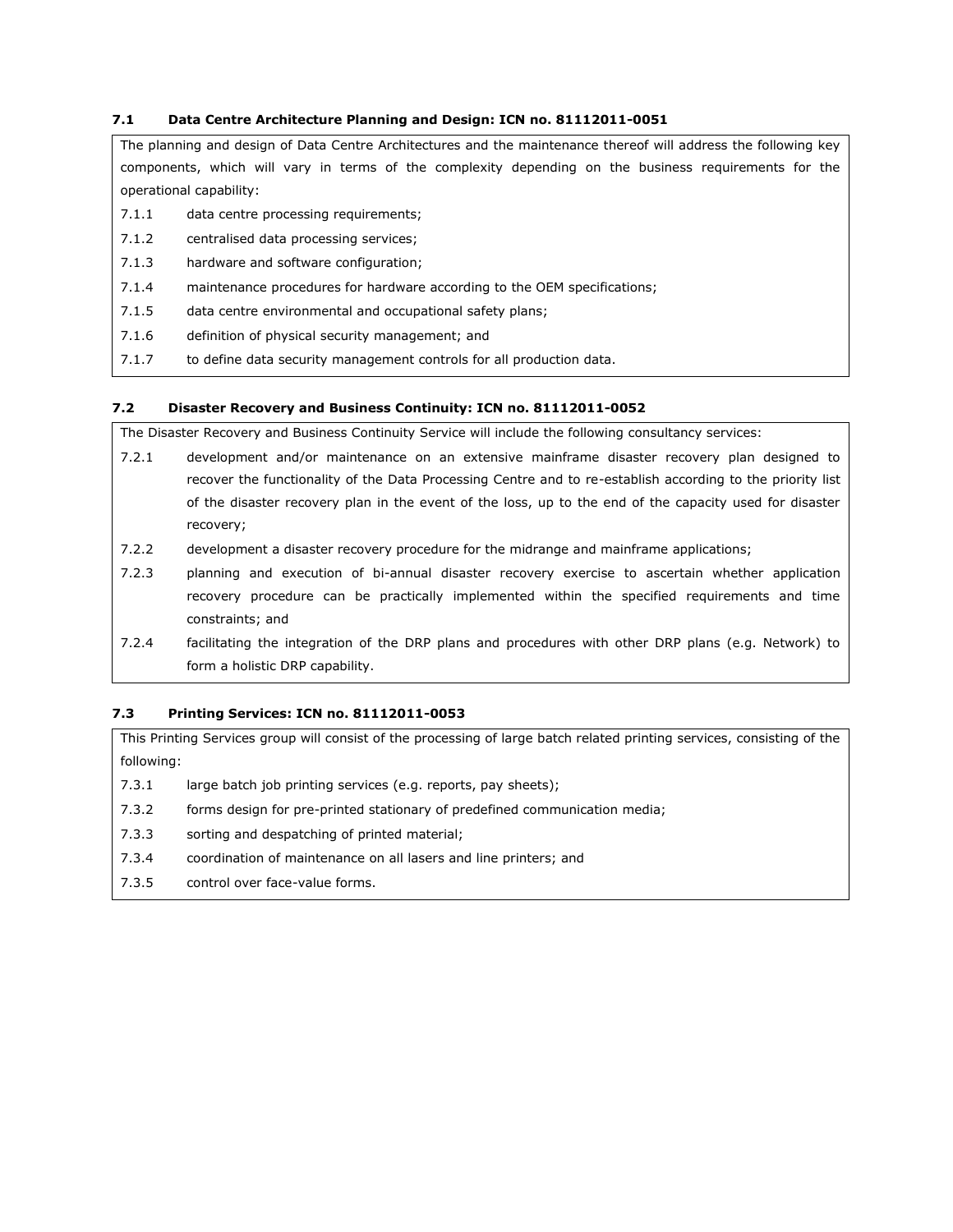## **7.1 Data Centre Architecture Planning and Design: ICN no. 81112011-0051**

The planning and design of Data Centre Architectures and the maintenance thereof will address the following key components, which will vary in terms of the complexity depending on the business requirements for the operational capability:

- 7.1.1 data centre processing requirements;
- 7.1.2 centralised data processing services;
- 7.1.3 hardware and software configuration;
- 7.1.4 maintenance procedures for hardware according to the OEM specifications;
- 7.1.5 data centre environmental and occupational safety plans;
- 7.1.6 definition of physical security management; and
- 7.1.7 to define data security management controls for all production data.

# **7.2 Disaster Recovery and Business Continuity: ICN no. 81112011-0052**

The Disaster Recovery and Business Continuity Service will include the following consultancy services:

- 7.2.1 development and/or maintenance on an extensive mainframe disaster recovery plan designed to recover the functionality of the Data Processing Centre and to re-establish according to the priority list of the disaster recovery plan in the event of the loss, up to the end of the capacity used for disaster recovery;
- 7.2.2 development a disaster recovery procedure for the midrange and mainframe applications;
- 7.2.3 planning and execution of bi-annual disaster recovery exercise to ascertain whether application recovery procedure can be practically implemented within the specified requirements and time constraints; and
- 7.2.4 facilitating the integration of the DRP plans and procedures with other DRP plans (e.g. Network) to form a holistic DRP capability.

# **7.3 Printing Services: ICN no. 81112011-0053**

This Printing Services group will consist of the processing of large batch related printing services, consisting of the following:

- 7.3.1 large batch job printing services (e.g. reports, pay sheets);
- 7.3.2 forms design for pre-printed stationary of predefined communication media;
- 7.3.3 sorting and despatching of printed material;
- 7.3.4 coordination of maintenance on all lasers and line printers; and
- 7.3.5 control over face-value forms.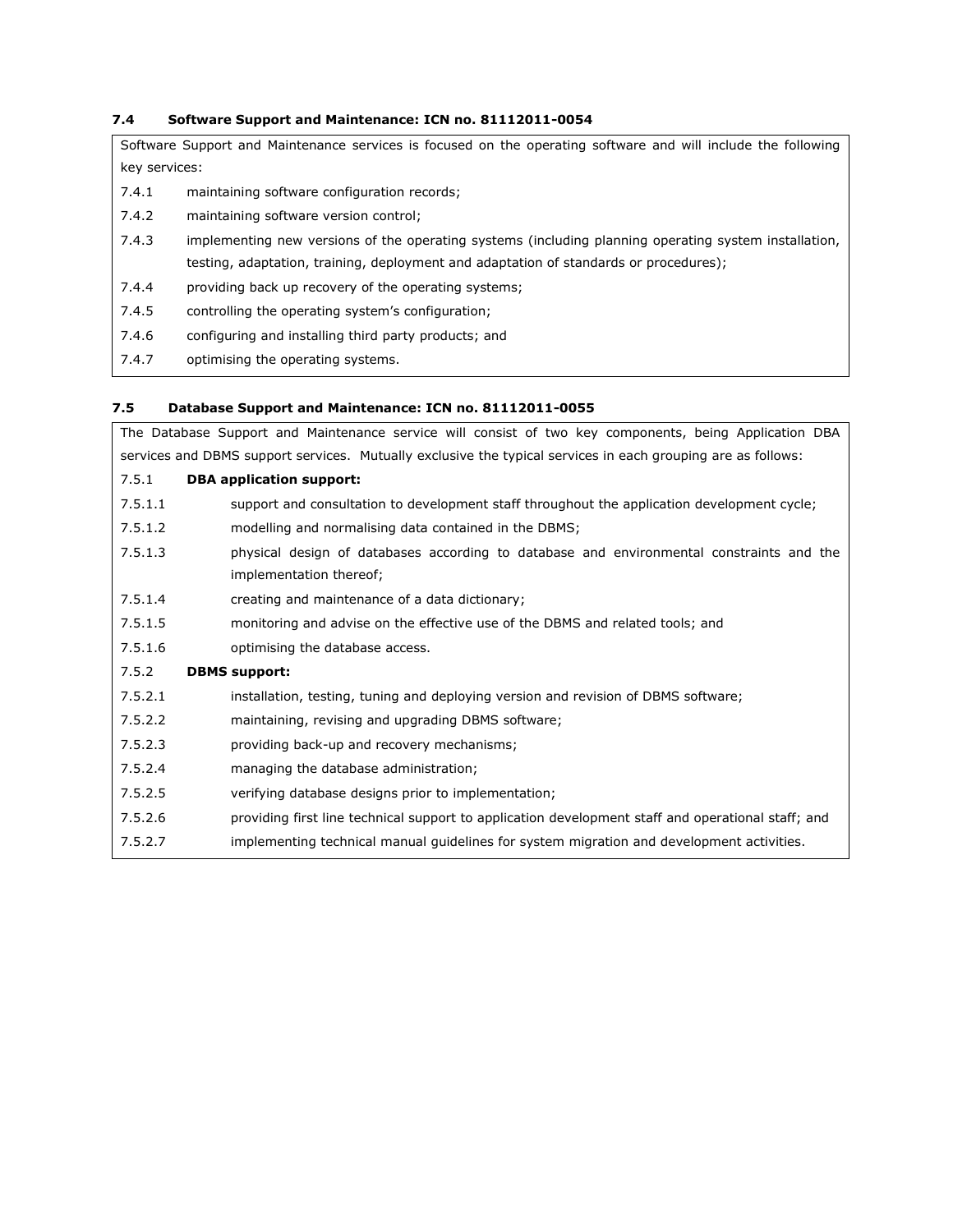## **7.4 Software Support and Maintenance: ICN no. 81112011-0054**

Software Support and Maintenance services is focused on the operating software and will include the following key services:

- 7.4.1 maintaining software configuration records;
- 7.4.2 maintaining software version control;
- 7.4.3 implementing new versions of the operating systems (including planning operating system installation, testing, adaptation, training, deployment and adaptation of standards or procedures);
- 7.4.4 providing back up recovery of the operating systems;
- 7.4.5 controlling the operating system's configuration;
- 7.4.6 configuring and installing third party products; and
- 7.4.7 optimising the operating systems.

#### **7.5 Database Support and Maintenance: ICN no. 81112011-0055**

The Database Support and Maintenance service will consist of two key components, being Application DBA services and DBMS support services. Mutually exclusive the typical services in each grouping are as follows: 7.5.1 **DBA application support:** 7.5.1.1 support and consultation to development staff throughout the application development cycle; 7.5.1.2 modelling and normalising data contained in the DBMS; 7.5.1.3 physical design of databases according to database and environmental constraints and the implementation thereof; 7.5.1.4 creating and maintenance of a data dictionary; 7.5.1.5 monitoring and advise on the effective use of the DBMS and related tools; and 7.5.1.6 optimising the database access. 7.5.2 **DBMS support:** 7.5.2.1 installation, testing, tuning and deploying version and revision of DBMS software; 7.5.2.2 maintaining, revising and upgrading DBMS software; 7.5.2.3 providing back-up and recovery mechanisms; 7.5.2.4 managing the database administration; 7.5.2.5 verifying database designs prior to implementation; 7.5.2.6 providing first line technical support to application development staff and operational staff; and 7.5.2.7 implementing technical manual guidelines for system migration and development activities.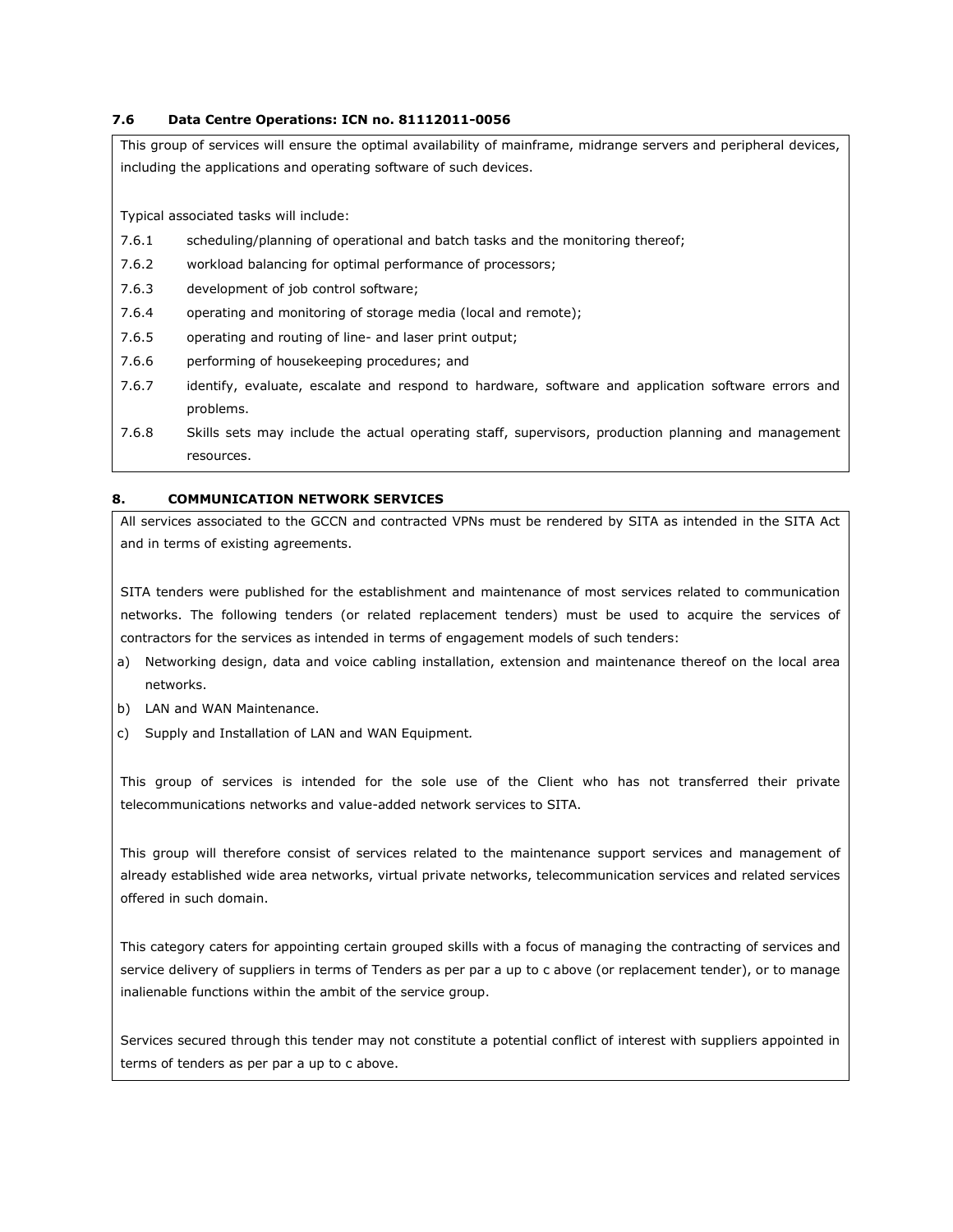#### **7.6 Data Centre Operations: ICN no. 81112011-0056**

This group of services will ensure the optimal availability of mainframe, midrange servers and peripheral devices, including the applications and operating software of such devices.

Typical associated tasks will include:

- 7.6.1 scheduling/planning of operational and batch tasks and the monitoring thereof;
- 7.6.2 workload balancing for optimal performance of processors;
- 7.6.3 development of job control software;
- 7.6.4 operating and monitoring of storage media (local and remote);
- 7.6.5 operating and routing of line- and laser print output;
- 7.6.6 performing of housekeeping procedures; and
- 7.6.7 identify, evaluate, escalate and respond to hardware, software and application software errors and problems.
- 7.6.8 Skills sets may include the actual operating staff, supervisors, production planning and management resources.

## **8. COMMUNICATION NETWORK SERVICES**

All services associated to the GCCN and contracted VPNs must be rendered by SITA as intended in the SITA Act and in terms of existing agreements.

SITA tenders were published for the establishment and maintenance of most services related to communication networks. The following tenders (or related replacement tenders) must be used to acquire the services of contractors for the services as intended in terms of engagement models of such tenders:

- a) Networking design, data and voice cabling installation, extension and maintenance thereof on the local area networks.
- b) LAN and WAN Maintenance.
- c) Supply and Installation of LAN and WAN Equipment*.*

This group of services is intended for the sole use of the Client who has not transferred their private telecommunications networks and value-added network services to SITA.

This group will therefore consist of services related to the maintenance support services and management of already established wide area networks, virtual private networks, telecommunication services and related services offered in such domain.

This category caters for appointing certain grouped skills with a focus of managing the contracting of services and service delivery of suppliers in terms of Tenders as per par a up to c above (or replacement tender), or to manage inalienable functions within the ambit of the service group.

Services secured through this tender may not constitute a potential conflict of interest with suppliers appointed in terms of tenders as per par a up to c above.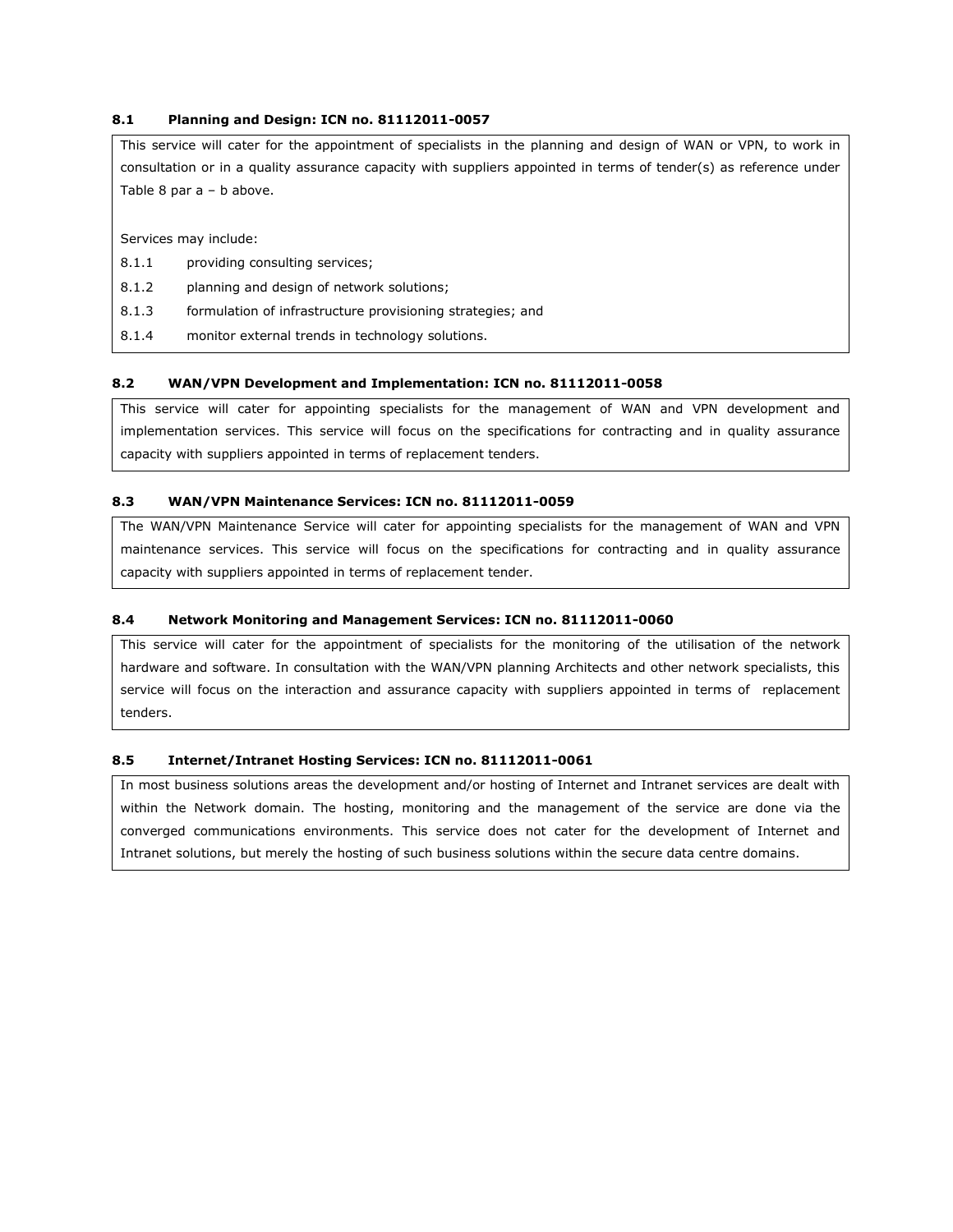#### **8.1 Planning and Design: ICN no. 81112011-0057**

This service will cater for the appointment of specialists in the planning and design of WAN or VPN, to work in consultation or in a quality assurance capacity with suppliers appointed in terms of tender(s) as reference under Table 8 par a – b above.

Services may include:

- 8.1.1 providing consulting services;
- 8.1.2 planning and design of network solutions;
- 8.1.3 formulation of infrastructure provisioning strategies; and
- 8.1.4 monitor external trends in technology solutions.

#### **8.2 WAN/VPN Development and Implementation: ICN no. 81112011-0058**

This service will cater for appointing specialists for the management of WAN and VPN development and implementation services. This service will focus on the specifications for contracting and in quality assurance capacity with suppliers appointed in terms of replacement tenders.

## **8.3 WAN/VPN Maintenance Services: ICN no. 81112011-0059**

The WAN/VPN Maintenance Service will cater for appointing specialists for the management of WAN and VPN maintenance services. This service will focus on the specifications for contracting and in quality assurance capacity with suppliers appointed in terms of replacement tender.

#### **8.4 Network Monitoring and Management Services: ICN no. 81112011-0060**

This service will cater for the appointment of specialists for the monitoring of the utilisation of the network hardware and software. In consultation with the WAN/VPN planning Architects and other network specialists, this service will focus on the interaction and assurance capacity with suppliers appointed in terms of replacement tenders.

#### **8.5 Internet/Intranet Hosting Services: ICN no. 81112011-0061**

In most business solutions areas the development and/or hosting of Internet and Intranet services are dealt with within the Network domain. The hosting, monitoring and the management of the service are done via the converged communications environments. This service does not cater for the development of Internet and Intranet solutions, but merely the hosting of such business solutions within the secure data centre domains.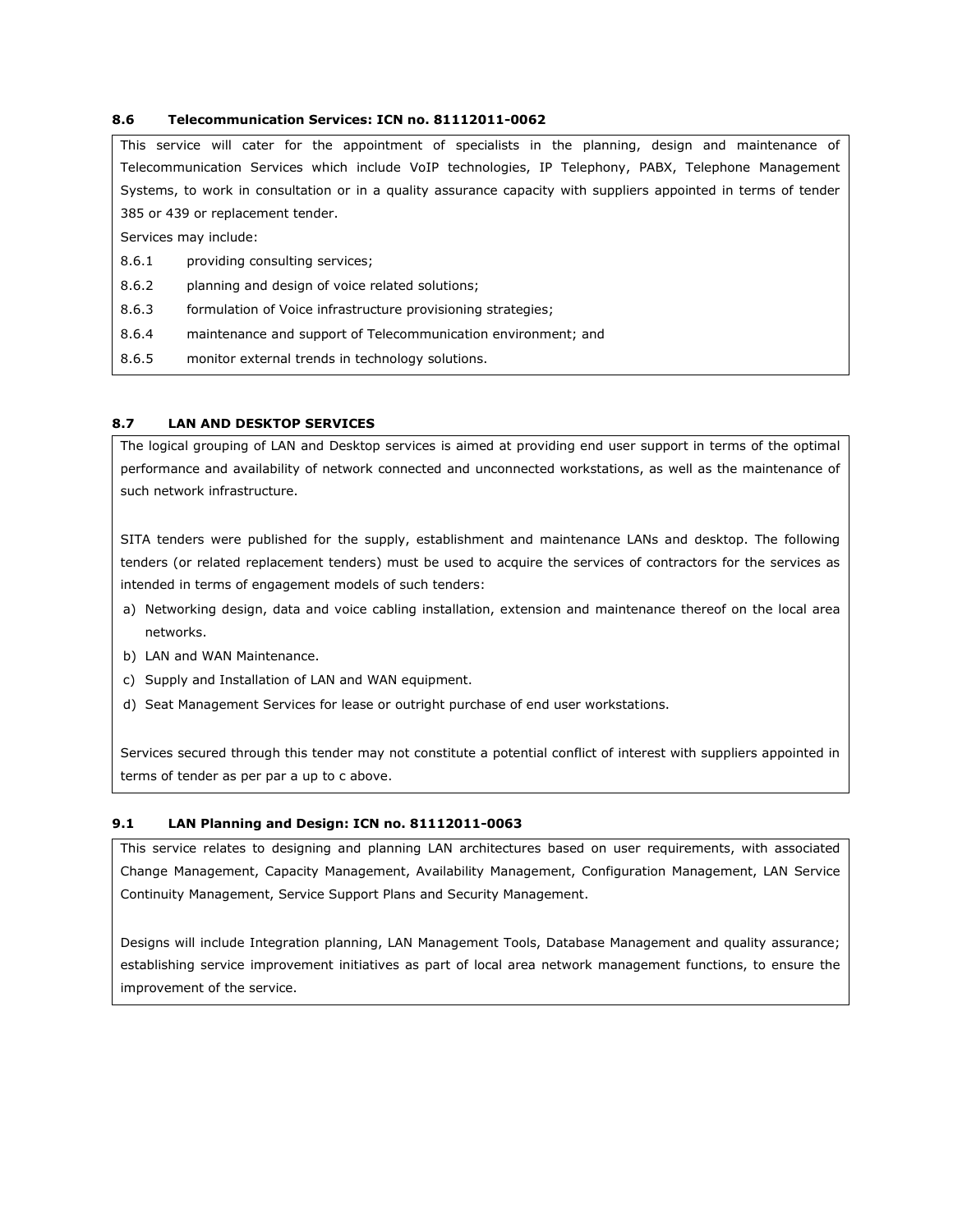## **8.6 Telecommunication Services: ICN no. 81112011-0062**

This service will cater for the appointment of specialists in the planning, design and maintenance of Telecommunication Services which include VoIP technologies, IP Telephony, PABX, Telephone Management Systems, to work in consultation or in a quality assurance capacity with suppliers appointed in terms of tender 385 or 439 or replacement tender.

Services may include:

8.6.1 providing consulting services;

- 8.6.2 planning and design of voice related solutions;
- 8.6.3 formulation of Voice infrastructure provisioning strategies;
- 8.6.4 maintenance and support of Telecommunication environment; and
- 8.6.5 monitor external trends in technology solutions.

## **8.7 LAN AND DESKTOP SERVICES**

The logical grouping of LAN and Desktop services is aimed at providing end user support in terms of the optimal performance and availability of network connected and unconnected workstations, as well as the maintenance of such network infrastructure.

SITA tenders were published for the supply, establishment and maintenance LANs and desktop. The following tenders (or related replacement tenders) must be used to acquire the services of contractors for the services as intended in terms of engagement models of such tenders:

- a) Networking design, data and voice cabling installation, extension and maintenance thereof on the local area networks.
- b) LAN and WAN Maintenance.
- c) Supply and Installation of LAN and WAN equipment.
- d) Seat Management Services for lease or outright purchase of end user workstations.

Services secured through this tender may not constitute a potential conflict of interest with suppliers appointed in terms of tender as per par a up to c above.

#### **9.1 LAN Planning and Design: ICN no. 81112011-0063**

This service relates to designing and planning LAN architectures based on user requirements, with associated Change Management, Capacity Management, Availability Management, Configuration Management, LAN Service Continuity Management, Service Support Plans and Security Management.

Designs will include Integration planning, LAN Management Tools, Database Management and quality assurance; establishing service improvement initiatives as part of local area network management functions, to ensure the improvement of the service.